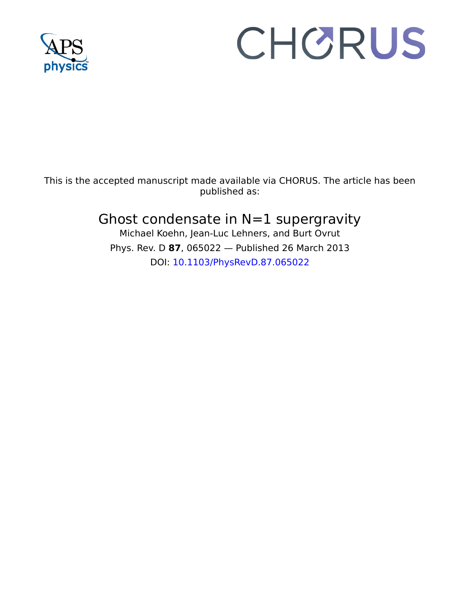

# CHORUS

This is the accepted manuscript made available via CHORUS. The article has been published as:

## Ghost condensate in  $N=1$  supergravity

Michael Koehn, Jean-Luc Lehners, and Burt Ovrut Phys. Rev. D **87**, 065022 — Published 26 March 2013 DOI: [10.1103/PhysRevD.87.065022](http://dx.doi.org/10.1103/PhysRevD.87.065022)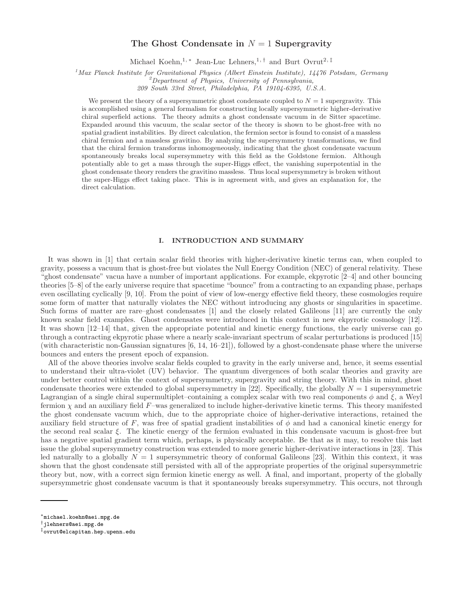### The Ghost Condensate in  $N = 1$  Supergravity

Michael Koehn,<sup>1,\*</sup> Jean-Luc Lehners,<sup>1,†</sup> and Burt Ovrut<sup>2,‡</sup>

<sup>1</sup>Max Planck Institute for Gravitational Physics (Albert Einstein Institute), 14476 Potsdam, Germany <sup>2</sup>Department of Physics, University of Pennsylvania,

209 South 33rd Street, Philadelphia, PA 19104-6395, U.S.A.

We present the theory of a supersymmetric ghost condensate coupled to  $N = 1$  supergravity. This is accomplished using a general formalism for constructing locally supersymmetric higher-derivative chiral superfield actions. The theory admits a ghost condensate vacuum in de Sitter spacetime. Expanded around this vacuum, the scalar sector of the theory is shown to be ghost-free with no spatial gradient instabilities. By direct calculation, the fermion sector is found to consist of a massless chiral fermion and a massless gravitino. By analyzing the supersymmetry transformations, we find that the chiral fermion transforms inhomogeneously, indicating that the ghost condensate vacuum spontaneously breaks local supersymmetry with this field as the Goldstone fermion. Although potentially able to get a mass through the super-Higgs effect, the vanishing superpotential in the ghost condensate theory renders the gravitino massless. Thus local supersymmetry is broken without the super-Higgs effect taking place. This is in agreement with, and gives an explanation for, the direct calculation.

#### I. INTRODUCTION AND SUMMARY

It was shown in [1] that certain scalar field theories with higher-derivative kinetic terms can, when coupled to gravity, possess a vacuum that is ghost-free but violates the Null Energy Condition (NEC) of general relativity. These "ghost condensate" vacua have a number of important applications. For example, ekpyrotic [2–4] and other bouncing theories [5–8] of the early universe require that spacetime "bounce" from a contracting to an expanding phase, perhaps even oscillating cyclically [9, 10]. From the point of view of low-energy effective field theory, these cosmologies require some form of matter that naturally violates the NEC without introducing any ghosts or singularities in spacetime. Such forms of matter are rare–ghost condensates [1] and the closely related Galileons [11] are currently the only known scalar field examples. Ghost condensates were introduced in this context in new ekpyrotic cosmology [12]. It was shown [12–14] that, given the appropriate potential and kinetic energy functions, the early universe can go through a contracting ekpyrotic phase where a nearly scale-invariant spectrum of scalar perturbations is produced [15] (with characteristic non-Gaussian signatures [6, 14, 16–21]), followed by a ghost-condensate phase where the universe bounces and enters the present epoch of expansion.

spontaneously break botal supergy<br>means parentially able to for a mass through the simele sime of the Goldsian<br>effectivality able to get a mass through the super-Higgs effect, the vanishing superpodential in the<br>gluent co All of the above theories involve scalar fields coupled to gravity in the early universe and, hence, it seems essential to understand their ultra-violet (UV) behavior. The quantum divergences of both scalar theories and gravity are under better control within the context of supersymmetry, supergravity and string theory. With this in mind, ghost condensate theories were extended to global supersymmetry in [22]. Specifically, the globally  $N = 1$  supersymmetric Lagrangian of a single chiral supermultiplet–containing a complex scalar with two real components  $\phi$  and  $\xi$ , a Weyl fermion  $\chi$  and an auxiliary field F-was generalized to include higher-derivative kinetic terms. This theory manifested the ghost condensate vacuum which, due to the appropriate choice of higher-derivative interactions, retained the auxiliary field structure of F, was free of spatial gradient instabilities of  $\phi$  and had a canonical kinetic energy for the second real scalar ξ. The kinetic energy of the fermion evaluated in this condensate vacuum is ghost-free but has a negative spatial gradient term which, perhaps, is physically acceptable. Be that as it may, to resolve this last issue the global supersymmetry construction was extended to more generic higher-derivative interactions in [23]. This led naturally to a globally  $N = 1$  supersymmetric theory of conformal Galileons [23]. Within this context, it was shown that the ghost condensate still persisted with all of the appropriate properties of the original supersymmetric theory but, now, with a correct sign fermion kinetic energy as well. A final, and important, property of the globally supersymmetric ghost condensate vacuum is that it spontaneously breaks supersymmetry. This occurs, not through

<sup>∗</sup>michael.koehn@aei.mpg.de

<sup>†</sup>jlehners@aei.mpg.de

<sup>‡</sup>ovrut@elcapitan.hep.upenn.edu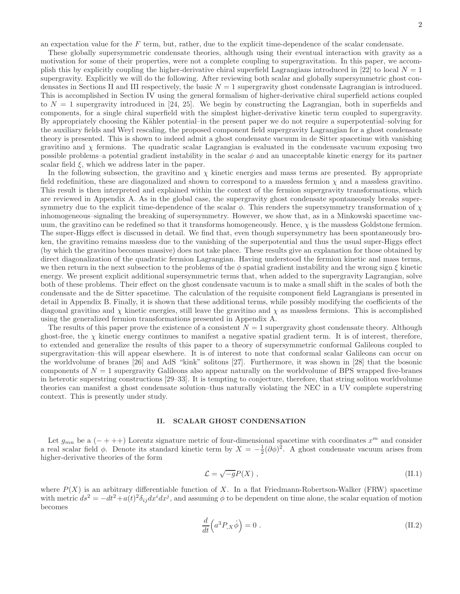an expectation value for the  $F$  term, but, rather, due to the explicit time-dependence of the scalar condensate.

These globally supersymmetric condensate theories, although using their eventual interaction with gravity as a motivation for some of their properties, were not a complete coupling to supergravitation. In this paper, we accomplish this by explicitly coupling the higher-derivative chiral superfield Lagrangians introduced in [22] to local  $N = 1$ supergravity. Explicitly we will do the following. After reviewing both scalar and globally supersymmetric ghost condensates in Sections II and III respectively, the basic  $N = 1$  supergravity ghost condensate Lagrangian is introduced. This is accomplished in Section IV using the general formalism of higher-derivative chiral superfield actions coupled to  $N = 1$  supergravity introduced in [24, 25]. We begin by constructing the Lagrangian, both in superfields and components, for a single chiral superfield with the simplest higher-derivative kinetic term coupled to supergravity. By appropriately choosing the Kähler potential–in the present paper we do not require a superpotential–solving for the auxiliary fields and Weyl rescaling, the proposed component field supergravity Lagrangian for a ghost condensate theory is presented. This is shown to indeed admit a ghost condensate vacuum in de Sitter spacetime with vanishing gravitino and  $\chi$  fermions. The quadratic scalar Lagrangian is evaluated in the condensate vacuum exposing two possible problems–a potential gradient instability in the scalar  $\phi$  and an unacceptable kinetic energy for its partner scalar field  $\xi$ , which we address later in the paper.

In the following subsection, the gravitino and  $\chi$  kinetic energies and mass terms are presented. By appropriate field redefinition, these are diagonalized and shown to correspond to a massless fermion  $\chi$  and a massless gravitino. This result is then interpreted and explained within the context of the fermion supergravity transformations, which are reviewed in Appendix A. As in the global case, the supergravity ghost condensate spontaneously breaks supersymmetry due to the explicit time-dependence of the scalar  $\phi$ . This renders the supersymmetry transformation of  $\chi$ inhomogeneous–signaling the breaking of supersymmetry. However, we show that, as in a Minkowski spacetime vacuum, the gravitino can be redefined so that it transforms homogeneously. Hence,  $\chi$  is the massless Goldstone fermion. The super-Higgs effect is discussed in detail. We find that, even though supersymmetry has been spontaneously broken, the gravitino remains massless due to the vanishing of the superpotential and thus the usual super-Higgs effect (by which the gravitino becomes massive) does not take place. These results give an explanation for those obtained by direct diagonalization of the quadratic fermion Lagrangian. Having understood the fermion kinetic and mass terms, we then return in the next subsection to the problems of the  $\phi$  spatial gradient instability and the wrong sign  $\xi$  kinetic energy. We present explicit additional supersymmetric terms that, when added to the supergravity Lagrangian, solve both of these problems. Their effect on the ghost condensate vacuum is to make a small shift in the scales of both the condensate and the de Sitter spacetime. The calculation of the requisite component field Lagrangians is presented in detail in Appendix B. Finally, it is shown that these additional terms, while possibly modifying the coefficients of the diagonal gravitino and  $\chi$  kinetic energies, still leave the gravitino and  $\chi$  as massless fermions. This is accomplished using the generalized fermion transformations presented in Appendix A.

The results of this paper prove the existence of a consistent  $N = 1$  supergravity ghost condensate theory. Although ghost-free, the  $\chi$  kinetic energy continues to manifest a negative spatial gradient term. It is of interest, therefore, to extended and generalize the results of this paper to a theory of supersymmetric conformal Galileons coupled to supergravitation–this will appear elsewhere. It is of interest to note that conformal scalar Galileons can occur on the worldvolume of branes [26] and AdS "kink" solitons [27]. Furthermore, it was shown in [28] that the bosonic components of  $N = 1$  supergravity Galileons also appear naturally on the worldvolume of BPS wrapped five-branes in heterotic superstring constructions [29–33]. It is tempting to conjecture, therefore, that string soliton worldvolume theories can manifest a ghost condensate solution–thus naturally violating the NEC in a UV complete superstring context. This is presently under study.

#### II. SCALAR GHOST CONDENSATION

Let  $g_{mn}$  be a (- + ++) Lorentz signature metric of four-dimensional spacetime with coordinates  $x^m$  and consider a real scalar field  $\phi$ . Denote its standard kinetic term by  $X = -\frac{1}{2}(\partial \phi)^2$ . A ghost condensate vacuum arises from higher-derivative theories of the form

$$
\mathcal{L} = \sqrt{-g}P(X) \tag{II.1}
$$

where  $P(X)$  is an arbitrary differentiable function of X. In a flat Friedmann-Robertson-Walker (FRW) spacetime with metric  $ds^2 = -dt^2 + a(t)^2 \delta_{ij} dx^i dx^j$ , and assuming  $\phi$  to be dependent on time alone, the scalar equation of motion becomes

$$
\frac{d}{dt}\left(a^3 P_{,X}\dot{\phi}\right) = 0\tag{II.2}
$$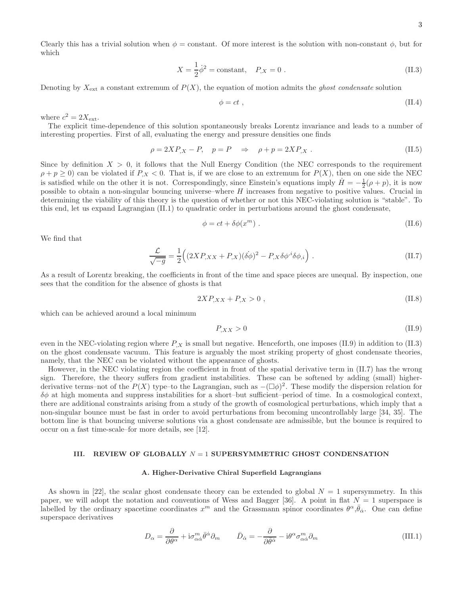Clearly this has a trivial solution when  $\phi = constant$ . Of more interest is the solution with non-constant  $\phi$ , but for which

$$
X = \frac{1}{2}\dot{\phi}^2 = \text{constant}, \quad P_{,X} = 0 \tag{II.3}
$$

Denoting by  $X_{\text{ext}}$  a constant extremum of  $P(X)$ , the equation of motion admits the ghost condensate solution

$$
\phi = ct \tag{II.4}
$$

where  $c^2 = 2X_{\text{ext}}$ .

The explicit time-dependence of this solution spontaneously breaks Lorentz invariance and leads to a number of interesting properties. First of all, evaluating the energy and pressure densities one finds

$$
\rho = 2XP_{,X} - P, \quad p = P \quad \Rightarrow \quad \rho + p = 2XP_{,X} \tag{II.5}
$$

Since by definition  $X > 0$ , it follows that the Null Energy Condition (the NEC corresponds to the requirement  $\rho + p \geq 0$ ) can be violated if  $P_{,X} < 0$ . That is, if we are close to an extremum for  $P(X)$ , then on one side the NEC is satisfied while on the other it is not. Correspondingly, since Einstein's equations imply  $\dot{H} = -\frac{1}{2}(\rho + p)$ , it is now possible to obtain a non-singular bouncing universe–where H increases from negative to positive values. Crucial in determining the viability of this theory is the question of whether or not this NEC-violating solution is "stable". To this end, let us expand Lagrangian (II.1) to quadratic order in perturbations around the ghost condensate,

$$
\phi = ct + \delta\phi(x^m) \tag{II.6}
$$

We find that

$$
\frac{\mathcal{L}}{\sqrt{-g}} = \frac{1}{2} \Big( (2XP_{,XX} + P_{,X})(\dot{\delta}\phi)^2 - P_{,X}\delta\phi^{i}\delta\phi_{,i} \Big) . \tag{II.7}
$$

As a result of Lorentz breaking, the coefficients in front of the time and space pieces are unequal. By inspection, one sees that the condition for the absence of ghosts is that

$$
2XP_{,XX} + P_{,X} > 0 \tag{II.8}
$$

which can be achieved around a local minimum

$$
P_{,XX} > 0 \tag{II.9}
$$

even in the NEC-violating region where  $P_X$  is small but negative. Henceforth, one imposes (II.9) in addition to (II.3) on the ghost condensate vacuum. This feature is arguably the most striking property of ghost condensate theories, namely, that the NEC can be violated without the appearance of ghosts.

However, in the NEC violating region the coefficient in front of the spatial derivative term in (II.7) has the wrong sign. Therefore, the theory suffers from gradient instabilities. These can be softened by adding (small) higherderivative terms–not of the  $P(X)$  type–to the Lagrangian, such as  $-(\Box \phi)^2$ . These modify the dispersion relation for  $\delta\phi$  at high momenta and suppress instabilities for a short–but sufficient–period of time. In a cosmological context, there are additional constraints arising from a study of the growth of cosmological perturbations, which imply that a non-singular bounce must be fast in order to avoid perturbations from becoming uncontrollably large [34, 35]. The bottom line is that bouncing universe solutions via a ghost condensate are admissible, but the bounce is required to occur on a fast time-scale–for more details, see [12].

#### III. REVIEW OF GLOBALLY  $N = 1$  SUPERSYMMETRIC GHOST CONDENSATION

#### A. Higher-Derivative Chiral Superfield Lagrangians

As shown in [22], the scalar ghost condensate theory can be extended to global  $N = 1$  supersymmetry. In this paper, we will adopt the notation and conventions of Wess and Bagger [36]. A point in flat  $N = 1$  superspace is labelled by the ordinary spacetime coordinates  $x^m$  and the Grassmann spinor coordinates  $\theta^{\alpha}, \bar{\theta}_{\dot{\alpha}}$ . One can define superspace derivatives

$$
D_{\alpha} = \frac{\partial}{\partial \theta^{\alpha}} + i\sigma_{\alpha\dot{\alpha}}^{m} \bar{\theta}^{\dot{\alpha}} \partial_{m} \qquad \bar{D}_{\dot{\alpha}} = -\frac{\partial}{\partial \bar{\theta}^{\dot{\alpha}}} - i\theta^{\alpha} \sigma_{\alpha\dot{\alpha}}^{m} \partial_{m} \qquad (III.1)
$$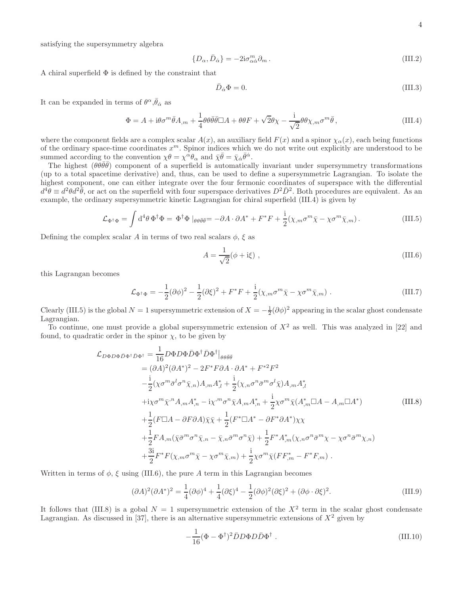satisfying the supersymmetry algebra

$$
\{D_{\alpha}, \bar{D}_{\dot{\alpha}}\} = -2i\sigma_{\alpha\dot{\alpha}}^{m}\partial_{m}.
$$
\n(III.2)

A chiral superfield  $\Phi$  is defined by the constraint that

$$
\bar{D}_{\dot{\alpha}}\Phi = 0.\tag{III.3}
$$

It can be expanded in terms of  $\theta^{\alpha}, \bar{\theta}_{\dot{\alpha}}$  as

$$
\Phi = A + i\theta\sigma^m \bar{\theta} A_{,m} + \frac{1}{4} \theta \theta \bar{\theta} \bar{\theta} \Box A + \theta \theta F + \sqrt{2} \theta \chi - \frac{i}{\sqrt{2}} \theta \theta \chi_{,m} \sigma^m \bar{\theta},
$$
\n(III.4)

where the component fields are a complex scalar  $A(x)$ , an auxiliary field  $F(x)$  and a spinor  $\chi_{\alpha}(x)$ , each being functions of the ordinary space-time coordinates  $x^m$ . Spinor indices which we do not write out explicitly are understood to be summed according to the convention  $\chi \theta = \chi^{\alpha} \theta_{\alpha}$  and  $\bar{\chi} \bar{\theta} = \bar{\chi}_{\dot{\alpha}} \bar{\theta}^{\dot{\alpha}}$ .

The highest  $(\theta \theta \bar{\theta} \bar{\theta})$  component of a superfield is automatically invariant under supersymmetry transformations (up to a total spacetime derivative) and, thus, can be used to define a supersymmetric Lagrangian. To isolate the highest component, one can either integrate over the four fermonic coordinates of superspace with the differential  $d^4\theta \equiv d^2\theta d^2\bar{\theta}$ , or act on the superfield with four superspace derivatives  $D^2\bar{D}^2$ . Both procedures are equivalent. As an example, the ordinary supersymmetric kinetic Lagrangian for chiral superfield (III.4) is given by

$$
\mathcal{L}_{\Phi^{\dagger}\Phi} = \int d^4\theta \, \Phi^{\dagger}\Phi = \Phi^{\dagger}\Phi \mid_{\theta\theta\bar{\theta}\bar{\theta}} = -\partial A \cdot \partial A^* + F^*F + \frac{i}{2}(\chi_{,m}\sigma^m\bar{\chi} - \chi\sigma^m\bar{\chi}_{,m}). \tag{III.5}
$$

Defining the complex scalar A in terms of two real scalars  $\phi$ ,  $\xi$  as

$$
A = \frac{1}{\sqrt{2}}(\phi + i\xi) , \qquad (III.6)
$$

this Lagrangan becomes

$$
\mathcal{L}_{\Phi^{\dagger}\Phi} = -\frac{1}{2}(\partial\phi)^2 - \frac{1}{2}(\partial\xi)^2 + F^*F + \frac{i}{2}(\chi_{,m}\sigma^m\bar{\chi} - \chi\sigma^m\bar{\chi}_{,m})\ . \tag{III.7}
$$

Clearly (III.5) is the global  $N = 1$  supersymmetric extension of  $X = -\frac{1}{2}(\partial \phi)^2$  appearing in the scalar ghost condensate Lagrangian.

To continue, one must provide a global supersymmetric extension of  $X<sup>2</sup>$  as well. This was analyzed in [22] and found, to quadratic order in the spinor  $\chi$ , to be given by

$$
\mathcal{L}_{D\Phi D\Phi \bar{D}\Phi^{\dagger} \bar{D}\Phi^{\dagger}} = \frac{1}{16} D\Phi D\Phi \bar{D}\Phi^{\dagger} \bar{D}\Phi^{\dagger} \Big|_{\theta\theta\bar{\theta}\bar{\theta}} \n= (\partial A)^{2} (\partial A^{*})^{2} - 2F^{*}F\partial A \cdot \partial A^{*} + F^{*2}F^{2} \n- \frac{i}{2} (\chi\sigma^{m}\bar{\sigma}^{l}\sigma^{n}\bar{\chi}_{,n}) A_{,m} A_{,l}^{*} + \frac{i}{2} (\chi_{,n}\sigma^{n}\bar{\sigma}^{m}\sigma^{l}\bar{\chi}) A_{,m} A_{,l}^{*} \n+ i\chi\sigma^{m}\bar{\chi}^{,n} A_{,m} A_{,n}^{*} - i\chi^{,m}\sigma^{n}\bar{\chi} A_{,m} A_{,n}^{*} + \frac{i}{2} \chi\sigma^{m}\bar{\chi} (A_{,m}^{*} \Box A - A_{,m} \Box A^{*}) \n+ \frac{1}{2} (F \Box A - \partial F\partial A) \bar{\chi}\bar{\chi} + \frac{1}{2} (F^{*} \Box A^{*} - \partial F^{*}\partial A^{*}) \chi\chi \n+ \frac{1}{2} F A_{,m} (\bar{\chi}\bar{\sigma}^{m}\sigma^{n}\bar{\chi}_{,n} - \bar{\chi}_{,n}\bar{\sigma}^{m}\sigma^{n}\bar{\chi}) + \frac{1}{2} F^{*} A_{,m}^{*} (\chi_{,n}\sigma^{n}\bar{\sigma}^{m}\chi - \chi\sigma^{n}\bar{\sigma}^{m}\chi_{,n}) \n+ \frac{3i}{2} F^{*} F (\chi_{,m}\sigma^{m}\bar{\chi} - \chi\sigma^{m}\bar{\chi}_{,m}) + \frac{i}{2} \chi\sigma^{m}\bar{\chi} (F F_{,m}^{*} - F^{*} F_{,m}) .
$$
\n(III.8)

Written in terms of  $\phi$ ,  $\xi$  using (III.6), the pure A term in this Lagrangian becomes

$$
(\partial A)^2 (\partial A^*)^2 = \frac{1}{4} (\partial \phi)^4 + \frac{1}{4} (\partial \xi)^4 - \frac{1}{2} (\partial \phi)^2 (\partial \xi)^2 + (\partial \phi \cdot \partial \xi)^2.
$$
 (III.9)

It follows that (III.8) is a gobal  $N = 1$  supersymmetric extension of the  $X^2$  term in the scalar ghost condensate Lagrangian. As discussed in [37], there is an alternative supersymmetric extensions of  $X^2$  given by

$$
-\frac{1}{16}(\Phi - \Phi^{\dagger})^2 \bar{D}D\Phi D\bar{D}\Phi^{\dagger} . \tag{III.10}
$$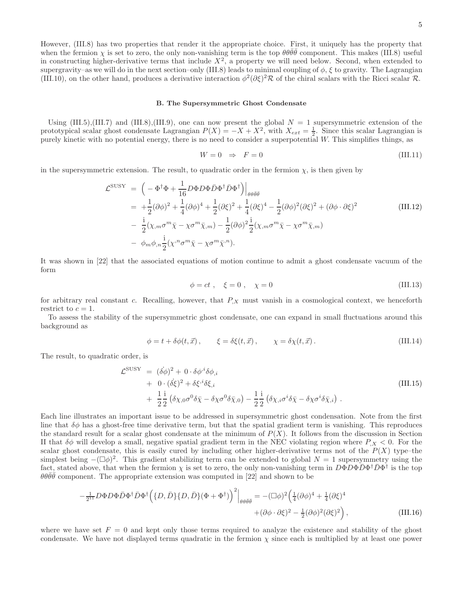However, (III.8) has two properties that render it the appropriate choice. First, it uniquely has the property that when the fermion  $\chi$  is set to zero, the only non-vanishing term is the top  $\theta\theta\bar{\theta}\bar{\theta}$  component. This makes (III.8) useful in constructing higher-derivative terms that include  $X^2$ , a property we will need below. Second, when extended to supergravity–as we will do in the next section–only (III.8) leads to minimal coupling of  $\phi$ ,  $\xi$  to gravity. The Lagrangian (III.10), on the other hand, produces a derivative interaction  $\phi^2(\partial \xi)^2 \mathcal{R}$  of the chiral scalars with the Ricci scalar  $\mathcal{R}$ .

#### B. The Supersymmetric Ghost Condensate

Using  $(III.5), (III.7)$  and  $(III.8), (III.9)$ , one can now present the global  $N = 1$  supersymmetric extension of the prototypical scalar ghost condensate Lagrangian  $P(X) = -X + X^2$ , with  $X_{ext} = \frac{1}{2}$ . Since this scalar Lagrangian is purely kinetic with no potential energy, there is no need to consider a superpotential  $W$ . This simplifies things, as

$$
W = 0 \Rightarrow F = 0 \tag{III.11}
$$

in the supersymmetric extension. The result, to quadratic order in the fermion  $\chi$ , is then given by

$$
\mathcal{L}^{\text{SUSY}} = \left( -\Phi^{\dagger} \Phi + \frac{1}{16} D \Phi D \Phi \bar{D} \Phi^{\dagger} \bar{D} \Phi^{\dagger} \right) \Big|_{\theta \theta \bar{\theta} \bar{\theta}}
$$
  
=  $+\frac{1}{2} (\partial \phi)^2 + \frac{1}{4} (\partial \phi)^4 + \frac{1}{2} (\partial \xi)^2 + \frac{1}{4} (\partial \xi)^4 - \frac{1}{2} (\partial \phi)^2 (\partial \xi)^2 + (\partial \phi \cdot \partial \xi)^2$  (III.12)  
-  $\frac{i}{2} (\chi_{,m} \sigma^m \bar{\chi} - \chi \sigma^m \bar{\chi}_{,m}) - \frac{1}{2} (\partial \phi)^2 \frac{i}{2} (\chi_{,m} \sigma^m \bar{\chi} - \chi \sigma^m \bar{\chi}_{,m})$   
-  $\phi_m \phi_{,n} \frac{i}{2} (\chi^n \sigma^m \bar{\chi} - \chi \sigma^m \bar{\chi}^n).$ 

It was shown in [22] that the associated equations of motion continue to admit a ghost condensate vacuum of the form

$$
\phi = ct \; , \quad \xi = 0 \; , \quad \chi = 0 \tag{III.13}
$$

for arbitrary real constant c. Recalling, however, that  $P_{,X}$  must vanish in a cosmological context, we henceforth restrict to  $c = 1$ .

To assess the stability of the supersymmetric ghost condensate, one can expand in small fluctuations around this background as

$$
\phi = t + \delta\phi(t, \vec{x}), \qquad \xi = \delta\xi(t, \vec{x}), \qquad \chi = \delta\chi(t, \vec{x}). \tag{III.14}
$$

The result, to quadratic order, is

$$
\mathcal{L}^{\text{SUSY}} = (\dot{\delta}\phi)^2 + 0 \cdot \delta\phi^{i}\delta\phi_{,i} \n+ 0 \cdot (\dot{\delta}\dot{\xi})^2 + \delta\xi^{i}\delta\xi_{,i} \n+ \frac{1}{2}\frac{i}{2} (\delta\chi_{,0}\sigma^0\delta\bar{\chi} - \delta\chi\sigma^0\delta\bar{\chi}_{,0}) - \frac{1}{2}\frac{i}{2} (\delta\chi_{,i}\sigma^i\delta\bar{\chi} - \delta\chi\sigma^i\delta\bar{\chi}_{,i}).
$$
\n(III.15)

Each line illustrates an important issue to be addressed in supersymmetric ghost condensation. Note from the first line that  $\delta\phi$  has a ghost-free time derivative term, but that the spatial gradient term is vanishing. This reproduces the standard result for a scalar ghost condensate at the minimum of  $P(X)$ . It follows from the discussion in Section II that  $\delta\phi$  will develop a small, negative spatial gradient term in the NEC violating region where  $P_X < 0$ . For the scalar ghost condensate, this is easily cured by including other higher-derivative terms not of the  $P(X)$  type–the simplest being  $-(\Box \phi)^2$ . This gradient stabilizing term can be extended to global  $N = 1$  supersymmetry using the fact, stated above, that when the fermion  $\chi$  is set to zero, the only non-vanishing term in  $D\Phi D\Phi \bar{D}\Phi^{\dagger} \bar{D}\Phi^{\dagger}$  is the top  $\theta \theta \bar{\theta} \bar{\theta}$  component. The appropriate extension was computed in [22] and shown to be

$$
-\frac{1}{2^{11}}D\Phi D\Phi \bar{D}\Phi^{\dagger} \bar{D}\Phi^{\dagger} (\lbrace D,\bar{D}\rbrace \lbrace D,\bar{D}\rbrace (\Phi+\Phi^{\dagger}))^{2} \Big|_{\theta\theta\bar{\theta}\bar{\theta}} = -(\Box\phi)^{2} \Big(\frac{1}{4}(\partial\phi)^{4} + \frac{1}{4}(\partial\xi)^{4} + (\partial\phi\cdot\partial\xi)^{2} - \frac{1}{2}(\partial\phi)^{2}(\partial\xi)^{2}\Big), \tag{III.16}
$$

where we have set  $F = 0$  and kept only those terms required to analyze the existence and stability of the ghost condensate. We have not displayed terms quadratic in the fermion  $\chi$  since each is multiplied by at least one power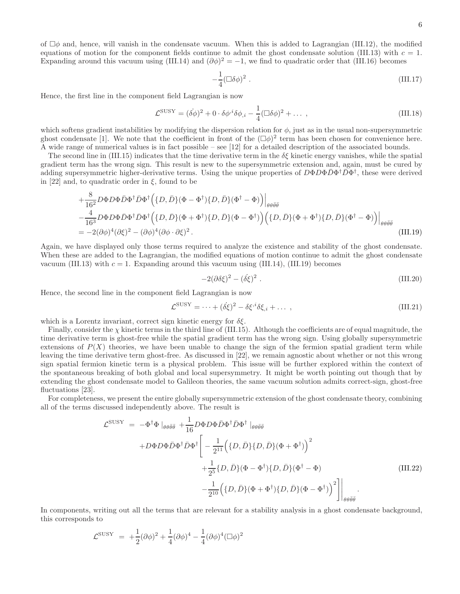of  $\Box\phi$  and, hence, will vanish in the condensate vacuum. When this is added to Lagrangian (III.12), the modified equations of motion for the component fields continue to admit the ghost condensate solution (III.13) with  $c = 1$ . Expanding around this vacuum using (III.14) and  $(\partial \phi)^2 = -1$ , we find to quadratic order that (III.16) becomes

$$
-\frac{1}{4}(\Box \delta \phi)^2 \tag{III.17}
$$

Hence, the first line in the component field Lagrangian is now

$$
\mathcal{L}^{\text{SUSY}} = (\dot{\delta\phi})^2 + 0 \cdot \delta\phi^{i\delta\phi} \dot{\delta\phi}_{,i} - \frac{1}{4} (\Box \delta\phi)^2 + \dots \,, \tag{III.18}
$$

which softens gradient instabilities by modifying the dispersion relation for  $\phi$ , just as in the usual non-supersymmetric ghost condensate [1]. We note that the coefficient in front of the  $(\Box \phi)^2$  term has been chosen for convenience here. A wide range of numerical values is in fact possible – see [12] for a detailed description of the associated bounds.

The second line in (III.15) indicates that the time derivative term in the  $\delta \xi$  kinetic energy vanishes, while the spatial gradient term has the wrong sign. This result is new to the supersymmetric extension and, again, must be cured by adding supersymmetric higher-derivative terms. Using the unique properties of  $D\Phi D\Phi \bar{D}\Phi^{\dagger} \bar{D}\Phi^{\dagger}$ , these were derived in [22] and, to quadratic order in  $\xi$ , found to be

$$
+\frac{8}{16^2}D\Phi D\Phi \bar{D}\Phi^{\dagger} \bar{D}\Phi^{\dagger} (\lbrace D, \bar{D}\rbrace (\Phi - \Phi^{\dagger}) \lbrace D, \bar{D}\rbrace (\Phi^{\dagger} - \Phi))\Big|_{\theta\theta\bar{\theta}\bar{\theta}}-\frac{4}{16^3}D\Phi D\Phi \bar{D}\Phi^{\dagger} \bar{D}\Phi^{\dagger} (\lbrace D, \bar{D}\rbrace (\Phi + \Phi^{\dagger}) \lbrace D, \bar{D}\rbrace (\Phi - \Phi^{\dagger}) ) (\lbrace D, \bar{D}\rbrace (\Phi + \Phi^{\dagger}) \lbrace D, \bar{D}\rbrace (\Phi^{\dagger} - \Phi))\Big|_{\theta\theta\bar{\theta}\bar{\theta}}= -2(\partial\phi)^4(\partial\xi)^2 - (\partial\phi)^4(\partial\phi \cdot \partial\xi)^2.
$$
 (III.19)

Again, we have displayed only those terms required to analyze the existence and stability of the ghost condensate. When these are added to the Lagrangian, the modified equations of motion continue to admit the ghost condensate vacuum (III.13) with  $c = 1$ . Expanding around this vacuum using (III.14), (III.19) becomes

$$
-2(\partial \delta \xi)^2 - (\dot{\delta \xi})^2 \tag{III.20}
$$

Hence, the second line in the component field Lagrangian is now

$$
\mathcal{L}^{\text{SUSY}} = \dots + (\delta \xi)^2 - \delta \xi^i \delta \xi_i + \dots \,, \tag{III.21}
$$

which is a Lorentz invariant, correct sign kinetic energy for  $\delta \xi$ .

Finally, consider the  $\chi$  kinetic terms in the third line of (III.15). Although the coefficients are of equal magnitude, the time derivative term is ghost-free while the spatial gradient term has the wrong sign. Using globally supersymmetric extensions of  $P(X)$  theories, we have been unable to change the sign of the fermion spatial gradient term while leaving the time derivative term ghost-free. As discussed in [22], we remain agnostic about whether or not this wrong sign spatial fermion kinetic term is a physical problem. This issue will be further explored within the context of the spontaneous breaking of both global and local supersymmetry. It might be worth pointing out though that by extending the ghost condensate model to Galileon theories, the same vacuum solution admits correct-sign, ghost-free fluctuations [23].

For completeness, we present the entire globally supersymmetric extension of the ghost condensate theory, combining all of the terms discussed independently above. The result is

$$
\mathcal{L}^{\text{SUSY}} = -\Phi^{\dagger} \Phi \left|_{\theta \theta \bar{\theta} \bar{\theta}} + \frac{1}{16} D \Phi D \Phi \bar{D} \Phi^{\dagger} \bar{D} \Phi^{\dagger} \left|_{\theta \theta \bar{\theta} \bar{\theta}} \right.\left. + D \Phi D \Phi \bar{D} \Phi^{\dagger} \bar{D} \Phi^{\dagger} \left[ -\frac{1}{2^{11}} \Big( \{ D, \bar{D} \} \{ D, \bar{D} \} (\Phi + \Phi^{\dagger}) \Big)^2 \right. \right.\left. + \frac{1}{2^5} \{ D, \bar{D} \} (\Phi - \Phi^{\dagger}) \{ D, \bar{D} \} (\Phi^{\dagger} - \Phi) \right.\left. - \frac{1}{2^{10}} \Big( \{ D, \bar{D} \} (\Phi + \Phi^{\dagger}) \{ D, \bar{D} \} (\Phi - \Phi^{\dagger}) \Big)^2 \Big] \Big|_{\theta \theta \bar{\theta} \bar{\theta}}.
$$
\n(III.22)

In components, writing out all the terms that are relevant for a stability analysis in a ghost condensate background, this corresponds to

$$
\mathcal{L}^{\text{SUSY}} = +\frac{1}{2}(\partial \phi)^2 + \frac{1}{4}(\partial \phi)^4 - \frac{1}{4}(\partial \phi)^4 (\Box \phi)^2
$$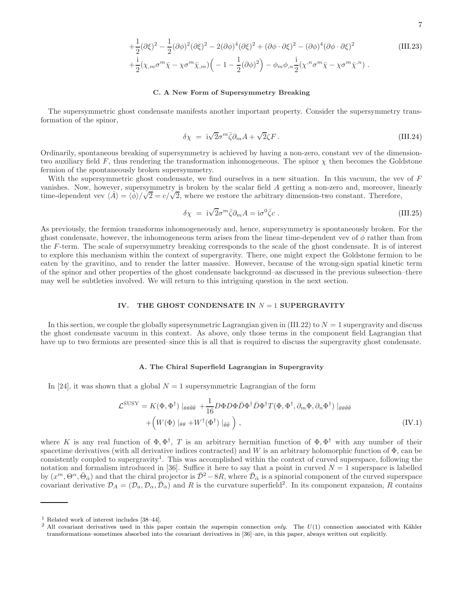$$
+\frac{1}{2}(\partial\xi)^2 - \frac{1}{2}(\partial\phi)^2(\partial\xi)^2 - 2(\partial\phi)^4(\partial\xi)^2 + (\partial\phi \cdot \partial\xi)^2 - (\partial\phi)^4(\partial\phi \cdot \partial\xi)^2
$$
 (III.23)  

$$
+\frac{i}{2}(\chi_m\sigma^m\bar{\chi} - \chi\sigma^m\bar{\chi}_m)\Big(-1 - \frac{1}{2}(\partial\phi)^2\Big) - \phi_m\phi_m\frac{i}{2}(\chi^n\sigma^m\bar{\chi} - \chi\sigma^m\bar{\chi}^n).
$$

#### C. A New Form of Supersymmetry Breaking

The supersymmetric ghost condensate manifests another important property. Consider the supersymmetry transformation of the spinor,

$$
\delta \chi = i\sqrt{2}\sigma^m \bar{\zeta} \partial_m A + \sqrt{2}\zeta F. \tag{III.24}
$$

Ordinarily, spontaneous breaking of supersymmetry is achieved by having a non-zero, constant vev of the dimensiontwo auxiliary field F, thus rendering the transformation inhomogeneous. The spinor  $\chi$  then becomes the Goldstone fermion of the spontaneously broken supersymmetry.

With the supersymmetric ghost condensate, we find ourselves in a new situation. In this vacuum, the vev of  $F$ vanishes. Now, however, supersymmetry is broken by the scalar field A getting a non-zero and, moreover, linearly time-dependent vev  $\langle \dot{A} \rangle = \langle \phi \rangle / \sqrt{2} = c / \sqrt{2}$ , where we restore the arbitrary dimension-two constant. Therefore,

$$
\delta \chi = i\sqrt{2}\sigma^m \bar{\zeta} \partial_m A = i\sigma^0 \bar{\zeta} c . \qquad (III.25)
$$

As previously, the fermion transforms inhomogeneously and, hence, supersymmetry is spontaneously broken. For the ghost condensate, however, the inhomogeneous term arises from the linear time-dependent vev of  $\phi$  rather than from the F-term. The scale of supersymmetry breaking corresponds to the scale of the ghost condensate. It is of interest to explore this mechanism within the context of supergravity. There, one might expect the Goldstone fermion to be eaten by the gravitino, and to render the latter massive. However, because of the wrong-sign spatial kinetic term of the spinor and other properties of the ghost condensate background–as discussed in the previous subsection–there may well be subtleties involved. We will return to this intriguing question in the next section.

#### IV. THE GHOST CONDENSATE IN  $N = 1$  SUPERGRAVITY

In this section, we couple the globally supersymmetric Lagrangian given in (III.22) to  $N = 1$  supergravity and discuss the ghost condensate vacuum in this context. As above, only those terms in the component field Lagrangian that have up to two fermions are presented–since this is all that is required to discuss the supergravity ghost condensate.

#### A. The Chiral Superfield Lagrangian in Supergravity

In [24], it was shown that a global  $N = 1$  supersymmetric Lagrangian of the form

$$
\mathcal{L}^{\text{SUSY}} = K(\Phi, \Phi^{\dagger}) \mid_{\theta \theta \bar{\theta} \bar{\theta}} + \frac{1}{16} D \Phi D \Phi \bar{D} \Phi^{\dagger} \bar{D} \Phi^{\dagger} T(\Phi, \Phi^{\dagger}, \partial_m \Phi, \partial_n \Phi^{\dagger}) \mid_{\theta \theta \bar{\theta} \bar{\theta}} + \left( W(\Phi) \mid_{\theta \theta} + W^{\dagger}(\Phi^{\dagger}) \mid_{\bar{\theta} \bar{\theta}} \right),
$$
 (IV.1)

where K is any real function of  $\Phi, \Phi^{\dagger}$ , T is an arbitrary hermitian function of  $\Phi, \Phi^{\dagger}$  with any number of their spacetime derivatives (with all derivative indices contracted) and W is an arbitrary holomorphic function of  $\Phi$ , can be consistently coupled to supergravity<sup>1</sup>. This was accomplished within the context of curved superspace, following the notation and formalism introduced in [36]. Suffice it here to say that a point in curved  $N = 1$  superspace is labelled by  $(x^m, \Theta^{\alpha}, \bar{\Theta}_{\dot{\alpha}})$  and that the chiral projector is  $\bar{\mathcal{D}}^2 - 8R$ , where  $\bar{\mathcal{D}}_{\dot{\alpha}}$  is a spinorial component of the curved superspace covariant derivative  $\mathcal{D}_A = (\mathcal{D}_a, \mathcal{D}_\alpha, \overline{\mathcal{D}}_{\dot{\alpha}})$  and R is the curvature superfield<sup>2</sup>. In its component expansion, R contains

<sup>1</sup> Related work of interest includes [38–44].

<sup>&</sup>lt;sup>2</sup> All covariant derivatives used in this paper contain the superspin connection *only*. The  $U(1)$  connection associated with Kähler transformations–sometimes absorbed into the covariant derivatives in [36]–are, in this paper, always written out explicitly.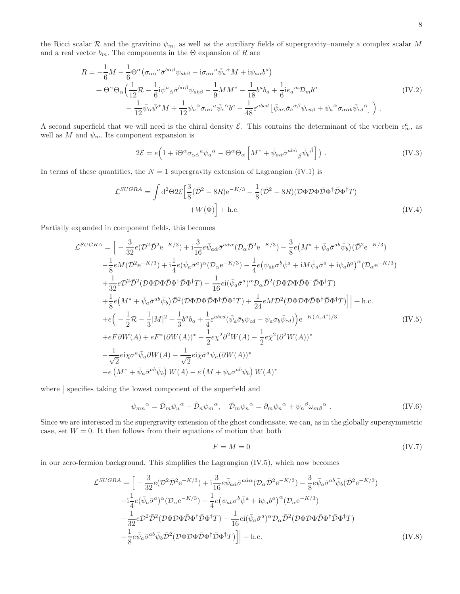the Ricci scalar R and the gravitino  $\psi_m$ , as well as the auxiliary fields of supergravity–namely a complex scalar M and a real vector  $b_m$ . The components in the  $\Theta$  expansion of R are

$$
R = -\frac{1}{6}M - \frac{1}{6}\Theta^{\alpha}(\sigma_{\alpha\dot{\alpha}}{}^{a}\bar{\sigma}^{b\dot{\alpha}\beta}\psi_{ab\beta} - i\sigma_{\alpha\dot{\alpha}}{}^{a}\bar{\psi}_{a}{}^{\dot{\alpha}}M + i\psi_{a\alpha}b^{a})
$$
  
+ 
$$
\Theta^{\alpha}\Theta_{\alpha}\Big(\frac{1}{12}\mathcal{R} - \frac{1}{6}i\bar{\psi}^{a}{}_{\dot{\alpha}}\bar{\sigma}^{b\dot{\alpha}\beta}\psi_{ab\beta} - \frac{1}{9}MM^{*} - \frac{1}{18}b^{a}b_{a} + \frac{1}{6}ie_{a}{}^{m}\mathcal{D}_{m}b^{a}
$$

$$
-\frac{1}{12}\bar{\psi}_{\dot{\alpha}}\bar{\psi}^{\dot{\alpha}}M + \frac{1}{12}\psi_{a}{}^{\alpha}\sigma_{\alpha\dot{\alpha}}{}^{a}\bar{\psi}_{c}{}^{\dot{\alpha}}b^{c} - \frac{1}{48}\varepsilon^{abcd}\left[\bar{\psi}_{a\dot{\alpha}}\bar{\sigma}_{b}{}^{\dot{\alpha}\beta}\psi_{cd\beta} + \psi_{a}{}^{\alpha}\sigma_{\alpha\dot{\alpha}b}\bar{\psi}_{cd}{}^{\dot{\alpha}}\right]\Big) .
$$
 (IV.2)

A second superfield that we will need is the chiral density  $\mathcal{E}$ . This contains the determinant of the vierbein  $e_m^a$ , as well as  $M$  and  $\psi_m$ . Its component expansion is

$$
2\mathcal{E} = e \Big( 1 + i \Theta^{\alpha} \sigma_{\alpha \dot{\alpha}}{}^a \bar{\psi}_a{}^{\dot{\alpha}} - \Theta^{\alpha} \Theta_{\alpha} \left[ M^* + \bar{\psi}_{a \dot{\alpha}} \bar{\sigma}^{a b \dot{\alpha}}{}_{\dot{\beta}} \bar{\psi}_b{}^{\dot{\beta}} \right] \Big) \ . \tag{IV.3}
$$

In terms of these quantities, the  $N = 1$  supergravity extension of Lagrangian (IV.1) is

$$
\mathcal{L}^{SUGRA} = \int d^2\Theta 2\mathcal{E} \left[ \frac{3}{8} (\bar{\mathcal{D}}^2 - 8R) e^{-K/3} - \frac{1}{8} (\bar{\mathcal{D}}^2 - 8R) (\mathcal{D}\Phi \mathcal{D}\Phi \bar{\mathcal{D}}\Phi^{\dagger} \bar{\mathcal{D}}\Phi^{\dagger} T) + W(\Phi) \right] + \text{h.c.}
$$
\n(IV.4)

Partially expanded in component fields, this becomes

$$
\mathcal{L}^{SUGRA} = \left[ -\frac{3}{32}e(\mathcal{D}^{2}\bar{\mathcal{D}}^{2}e^{-K/3}) + i\frac{3}{16}e\bar{\psi}_{a\dot{\alpha}}\bar{\sigma}^{a\dot{\alpha}\alpha}(\mathcal{D}_{\alpha}\bar{\mathcal{D}}^{2}e^{-K/3}) - \frac{3}{8}e(M^{*} + \bar{\psi}_{a}\bar{\sigma}^{ab}\bar{\psi}_{b})(\bar{\mathcal{D}}^{2}e^{-K/3}) - \frac{1}{8}eM(\mathcal{D}^{2}e^{-K/3}) + i\frac{1}{4}e(\bar{\psi}_{a}\bar{\sigma}^{a})^{\alpha}(\mathcal{D}_{\alpha}e^{-K/3}) - \frac{1}{4}e(\psi_{ab}\sigma^{b}\bar{\psi}^{a} + iM\bar{\psi}_{a}\bar{\sigma}^{a} + i\psi_{a}b^{a})^{\alpha}(\mathcal{D}_{\alpha}e^{-K/3}) - \frac{1}{32}e\mathcal{D}^{2}\bar{\mathcal{D}}^{2}(\mathcal{D}\Phi\mathcal{D}\Phi\bar{\mathcal{D}}\Phi^{\dagger}\mathcal{D}\Phi^{\dagger}\mathcal{T}) - \frac{1}{16}ei(\bar{\psi}_{a}\bar{\sigma}^{a})^{\alpha}\mathcal{D}_{\alpha}\bar{\mathcal{D}}^{2}(\mathcal{D}\Phi\mathcal{D}\Phi\bar{\mathcal{D}}\Phi^{\dagger}\mathcal{D}\Phi^{\dagger}\mathcal{T}) + \frac{1}{8}e(M^{*} + \bar{\psi}_{a}\bar{\sigma}^{ab}\bar{\psi}_{b})\bar{\mathcal{D}}^{2}(\mathcal{D}\Phi\mathcal{D}\Phi\bar{\mathcal{D}}\Phi^{\dagger}\mathcal{D}\Phi^{\dagger}\mathcal{T}) + \frac{1}{24}eM\mathcal{D}^{2}(\mathcal{D}\Phi\mathcal{D}\Phi\bar{\mathcal{D}}\Phi^{\dagger}\mathcal{D}\Phi^{\dagger}\mathcal{T})\right] + \text{h.c.}
$$
  
+ $e(-\frac{1}{2}\mathcal{R} - \frac{1}{3}|M|^{2} + \frac{1}{3}b^{a}b_{a} + \frac{1}{4}\varepsilon^{abcd}(\bar{\psi}_{a}\bar{\sigma}_{b}\psi_{cd} - \psi_{a}\sigma_{b}\bar{\psi}_{cd})\big) e^{-K(A,A^{*})/3}$   
+ $eF\partial W(A) + eF^{*}(\partial$ 

where  $\vert$  specifies taking the lowest component of the superfield and

$$
\psi_{mn}{}^{\alpha} = \tilde{\mathcal{D}}_m \psi_n{}^{\alpha} - \tilde{\mathcal{D}}_n \psi_m{}^{\alpha}, \quad \tilde{\mathcal{D}}_m \psi_n{}^{\alpha} = \partial_m \psi_n{}^{\alpha} + \psi_n{}^{\beta} \omega_{m\beta}{}^{\alpha} . \tag{IV.6}
$$

Since we are interested in the supergravity extension of the ghost condensate, we can, as in the globally supersymmetric case, set  $W = 0$ . It then follows from their equations of motion that both

$$
F = M = 0 \tag{IV.7}
$$

in our zero-fermion background. This simplifies the Lagrangian (IV.5), which now becomes

$$
\mathcal{L}^{SUGRA} = \Big[ -\frac{3}{32} e(\mathcal{D}^2 \bar{\mathcal{D}}^2 e^{-K/3}) + i \frac{3}{16} e \bar{\psi}_{a\dot{\alpha}} \bar{\sigma}^{a\dot{\alpha}\alpha} (\mathcal{D}_{\alpha} \bar{\mathcal{D}}^2 e^{-K/3}) - \frac{3}{8} e \bar{\psi}_{a} \bar{\sigma}^{ab} \bar{\psi}_{b} (\bar{\mathcal{D}}^2 e^{-K/3})
$$
  
\n
$$
+ i \frac{1}{4} e(\bar{\psi}_{a} \bar{\sigma}^{a})^{\alpha} (\mathcal{D}_{\alpha} e^{-K/3}) - \frac{1}{4} e(\psi_{ab} \sigma^b \bar{\psi}^a + i \psi_{a} b^a)^{\alpha} (\mathcal{D}_{\alpha} e^{-K/3})
$$
  
\n
$$
+ \frac{1}{32} e \mathcal{D}^2 \bar{\mathcal{D}}^2 (\mathcal{D} \Phi \mathcal{D} \Phi \bar{\mathcal{D}} \Phi^{\dagger} \bar{\mathcal{D}} \Phi^{\dagger} T) - \frac{1}{16} e i (\bar{\psi}_{a} \bar{\sigma}^{a})^{\alpha} \mathcal{D}_{\alpha} \bar{\mathcal{D}}^2 (\mathcal{D} \Phi \mathcal{D} \Phi \bar{\mathcal{D}} \Phi^{\dagger} \bar{\mathcal{D}} \Phi^{\dagger} T)
$$
  
\n
$$
+ \frac{1}{8} e \bar{\psi}_{a} \bar{\sigma}^{ab} \bar{\psi}_{b} \bar{\mathcal{D}}^2 (\mathcal{D} \Phi \mathcal{D} \Phi \bar{\mathcal{D}} \Phi^{\dagger} \bar{\mathcal{D}} \Phi^{\dagger} T)] \Big] + \text{h.c.}
$$
 (IV.8)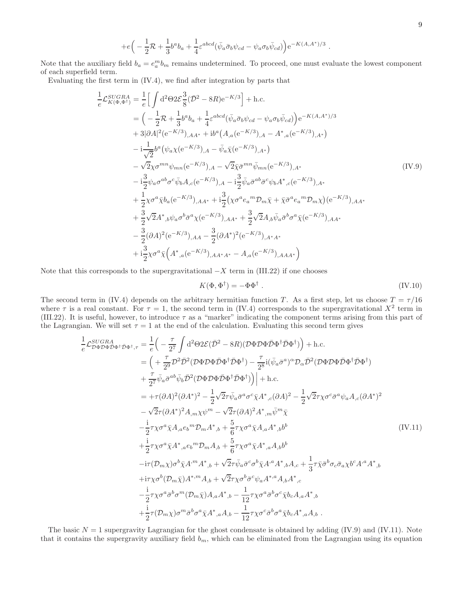$$
+e\Big(-\frac{1}{2}\mathcal{R}+\frac{1}{3}b^ab_a+\frac{1}{4}\varepsilon^{abcd}(\bar{\psi}_a\bar{\sigma}_b\psi_{cd}-\psi_a\sigma_b\bar{\psi}_{cd})\Big)e^{-K(A,A^*)/3}.
$$

Note that the auxiliary field  $b_a = e_a^m b_m$  remains undetermined. To proceed, one must evaluate the lowest component of each superfield term.

Evaluating the first term in (IV.4), we find after integration by parts that

$$
\frac{1}{e} \mathcal{L}_{K(\Phi,\Phi^{\dagger})}^{SUGRA} = \frac{1}{e} \Big[ \int d^{2} \Theta 2 \mathcal{E} \frac{3}{8} (\bar{\mathcal{D}}^{2} - 8R) e^{-K/3} \Big] + \text{h.c.}
$$
\n
$$
= \Big( -\frac{1}{2} \mathcal{R} + \frac{1}{3} b^{a} b_{a} + \frac{1}{4} \varepsilon^{abcd} (\bar{\psi}_{a} \bar{\sigma}_{b} \psi_{cd} - \psi_{a} \sigma_{b} \bar{\psi}_{cd}) \Big) e^{-K(A, A^{*})/3}
$$
\n
$$
+ 3|\partial A|^{2} (e^{-K/3})_{,AA^{*}} + i b^{a} (A_{,a} (e^{-K/3})_{,A} - A^{*}_{,a} (e^{-K/3})_{,A^{*}})
$$
\n
$$
- i \frac{1}{\sqrt{2}} b^{a} (\psi_{a} \chi (e^{-K/3})_{,A} - \bar{\psi}_{a} \bar{\chi} (e^{-K/3})_{,A^{*}})
$$
\n
$$
- \sqrt{2} \chi \sigma^{mn} \psi_{mn} (e^{-K/3})_{,A} - \sqrt{2} \bar{\chi} \bar{\sigma}^{mn} \bar{\psi}_{mn} (e^{-K/3})_{,A^{*}}
$$
\n
$$
- i \frac{3}{2} \psi_{a} \sigma^{ab} \sigma^{c} \bar{\psi}_{b} A_{,c} (e^{-K/3})_{,A} - i \frac{3}{2} \bar{\psi}_{a} \bar{\sigma}^{ab} \sigma^{c} \psi_{b} A^{*}_{,c} (e^{-K/3})_{,A^{*}}
$$
\n
$$
+ \frac{1}{2} \chi \sigma^{a} \bar{\chi} b_{a} (e^{-K/3})_{,AA^{*}} + i \frac{3}{2} (\chi \sigma^{a} e_{a}{}^{m} \mathcal{D}_{m} \bar{\chi} + \bar{\chi} \bar{\sigma}^{a} e_{a}{}^{m} \mathcal{D}_{m} \chi) (e^{-K/3})_{,AA^{*}}
$$
\n
$$
+ \frac{3}{2} \sqrt{2} A^{*}_{,b} \psi_{a} \sigma^{b} \bar{\sigma}^{a} \chi (e^{-K/3})_{,AA^{*}} + \frac{3}{2} \sqrt{2} A_{,b} \bar{\psi}_{a} \bar{\sigma
$$

Note that this corresponds to the supergravitational  $-X$  term in (III.22) if one chooses

$$
K(\Phi, \Phi^{\dagger}) = -\Phi \Phi^{\dagger} \tag{IV.10}
$$

The second term in (IV.4) depends on the arbitrary hermitian function T. As a first step, let us choose  $T = \tau/16$ where  $\tau$  is a real constant. For  $\tau = 1$ , the second term in (IV.4) corresponds to the supergravitational  $X^2$  term in (III.22). It is useful, however, to introduce  $\tau$  as a "marker" indicating the component terms arising from this part of the Lagrangian. We will set  $\tau = 1$  at the end of the calculation. Evaluating this second term gives

$$
\frac{1}{e}\mathcal{L}_{\mathcal{D}\Phi\mathcal{D}\Phi\Phi\Phi^{\dagger}\mathcal{D}\Phi^{\dagger},\tau} = \frac{1}{e}\Big(-\frac{\tau}{2^{7}}\int d^{2}\Theta 2\mathcal{E}(\bar{D}^{2} - 8R)(\mathcal{D}\Phi\mathcal{D}\Phi\bar{D}\Phi^{\dagger}\bar{D}\Phi^{\dagger})\Big) + \text{h.c.}
$$
\n
$$
= \Big(-\frac{\tau}{2^{9}}\mathcal{D}^{2}\bar{\mathcal{D}}^{2}(\mathcal{D}\Phi\mathcal{D}\Phi\bar{D}\Phi^{\dagger}\bar{\mathcal{D}}\Phi^{\dagger}) - \frac{\tau}{2^{8}}i(\bar{\psi}_{a}\bar{\sigma}^{a})^{\alpha}\mathcal{D}_{\alpha}\bar{\mathcal{D}}^{2}(\mathcal{D}\Phi\mathcal{D}\Phi\bar{D}\Phi^{\dagger}\bar{\mathcal{D}}\Phi^{\dagger})\Big) + \frac{\tau}{2^{7}}\bar{\psi}_{a}\bar{\sigma}^{ab}\bar{\psi}_{b}\bar{\mathcal{D}}^{2}(\mathcal{D}\Phi\mathcal{D}\Phi\bar{D}\Phi^{\dagger}\bar{\mathcal{D}}\Phi^{\dagger})\Big) + \text{h.c.}
$$
\n
$$
= +\tau(\partial A)^{2}(\partial A^{*})^{2} - \frac{1}{2}\sqrt{2}\tau\bar{\psi}_{a}\bar{\sigma}^{a}\sigma^{c}\bar{\chi}A^{*},c(\partial A)^{2} - \frac{1}{2}\sqrt{2}\tau\chi\sigma^{c}\bar{\sigma}^{a}\psi_{a}A,c(\partial A^{*})^{2} - \sqrt{2}\tau(\partial A)^{2}A^{*},\mathcal{D}\bar{\psi}^{m}\bar{\chi}
$$
\n
$$
- \frac{i}{2}\tau\chi\sigma^{a}\bar{\chi}A_{,a}e_{b}{}^{m}\mathcal{D}_{m}A^{*},b + \frac{5}{6}\tau\chi\sigma^{a}\bar{\chi}A_{,a}A^{*},b^{b}
$$
\n
$$
+ \frac{i}{2}\tau\chi\sigma^{a}\bar{\chi}A^{*},a\epsilon_{b}{}^{m}\mathcal{D}_{m}A_{,b} + \frac{5}{6}\tau\chi\sigma^{a}\bar{\chi}A^{*},aA,b^{b}
$$
\n
$$
-i\tau(\mathcal{D}_{m}\chi)\sigma^{b}\bar{\chi}A^{*m}
$$

The basic  $N = 1$  supergravity Lagrangian for the ghost condensate is obtained by adding (IV.9) and (IV.11). Note that it contains the supergravity auxiliary field  $b_m$ , which can be eliminated from the Lagrangian using its equation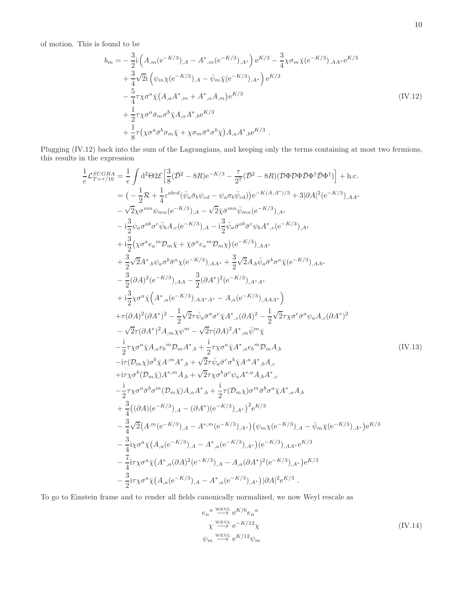of motion. This is found to be

$$
b_{m} = -\frac{3}{2} \mathbf{i} \left( A_{,m} (\mathbf{e}^{-K/3})_{,A} - A_{,m}^* (\mathbf{e}^{-K/3})_{,A^*} \right) \mathbf{e}^{K/3} - \frac{3}{4} \chi \sigma_m \bar{\chi} (\mathbf{e}^{-K/3})_{,AA^*} \mathbf{e}^{K/3} + \frac{3}{4} \sqrt{2} \mathbf{i} \left( \psi_m \chi (\mathbf{e}^{-K/3})_{,A} - \bar{\psi}_m \bar{\chi} (\mathbf{e}^{-K/3})_{,A^*} \right) \mathbf{e}^{K/3} - \frac{5}{4} \tau \chi \sigma^a \bar{\chi} (A_{,a} A_{,m}^* + A_{,a}^* A_{,m}) \mathbf{e}^{K/3} + \frac{1}{2} \tau \chi \sigma^a \bar{\sigma}_m \sigma^b \bar{\chi} A_{,a} A_{,b}^* \mathbf{e}^{K/3} + \frac{1}{8} \tau (\chi \sigma^a \bar{\sigma}^b \sigma_m \bar{\chi} + \chi \sigma_m \bar{\sigma}^a \sigma^b \bar{\chi}) A_{,a} A_{,b}^* \mathbf{e}^{K/3} .
$$
\n(IV.12)

Plugging (IV.12) back into the sum of the Lagrangians, and keeping only the terms containing at most two fermions, this results in the expression

$$
\frac{1}{c} \mathcal{L}_{T=\tau/16}^{SUGRA} = \frac{1}{c} \int d^{2} \Theta 2 \mathcal{E} \Big[ \frac{3}{6} (\bar{\mathcal{D}}^{2} - 8R) e^{-K/3} - \frac{\tau}{27} (\bar{\mathcal{D}}^{2} - 8R) (\mathcal{D} \Phi \mathcal{D} \Phi \Phi^{\dagger} \bar{\mathcal{D}} \Phi^{\dagger}) \Big] + \text{h.c.}
$$
\n
$$
= \left( -\frac{1}{2} \mathcal{R} + \frac{1}{4} \varepsilon^{abcd} (\bar{\psi}_{a} \bar{\sigma}_{b} \psi_{cd} - \psi_{a} \sigma_{b} \bar{\psi}_{cd}) \right) e^{-K(A,A^{*})/3} + 3 |\partial A|^{2} (e^{-K/3})_{,AA^{*}}
$$
\n
$$
- \frac{1}{2} \psi_{a} \sigma^{ab} \sigma^{c} \bar{\psi}_{b} A_{,c} (e^{-K/3})_{,A} - \frac{1}{2} \bar{\psi}_{a} \bar{\sigma}^{ab} \sigma^{c} \psi_{b} A^{*}, c(e^{-K/3})_{,A^{*}}
$$
\n
$$
- \frac{3}{2} \psi_{a} \sigma^{ab} \sigma^{c} \bar{\psi}_{b} A_{,c} (e^{-K/3})_{,A} - \frac{1}{2} \bar{\psi}_{a} \bar{\sigma}^{ab} \sigma^{c} \psi_{b} A^{*}, c(e^{-K/3})_{,A^{*}}
$$
\n
$$
+ \frac{3}{2} (\chi \sigma^{a} e_{a}{}^{m} \mathcal{D}_{m} \bar{\chi} + \bar{\chi} \bar{\sigma}^{a} e_{a}{}^{m} \mathcal{D}_{m} \chi) (e^{-K/3})_{,AA^{*}}
$$
\n
$$
+ \frac{3}{2} (\partial A)^{2} (e^{-K/3})_{,AA^{*}} + \frac{3}{2} \sqrt{2} A_{,b} \bar{\psi}_{a} \bar{\sigma}^{b} \sigma^{a} \bar{\chi} (e^{-K/3})_{,AA^{*}}
$$
\n
$$
- \frac{3}{2} (\partial A)^{2} (e^{-K/3})_{,AA^{*}} + \frac{3}{2} \sqrt{2} A_{,b} \bar{\psi}_{a} \bar{\sigma}^{b} \sigma^{a} \bar{\chi} (e^{-K/3})_{,AA^{*}}
$$
\

To go to Einstein frame and to render all fields canonically normalized, we now Weyl rescale as

$$
e_n^a \xrightarrow{\text{Weyl}} e^{K/6} e_n^a
$$
  

$$
\chi \xrightarrow{\text{Weyl}} e^{-K/12} \chi
$$
  

$$
\psi_m \xrightarrow{\text{Weyl}} e^{K/12} \psi_m
$$
  
(IV.14)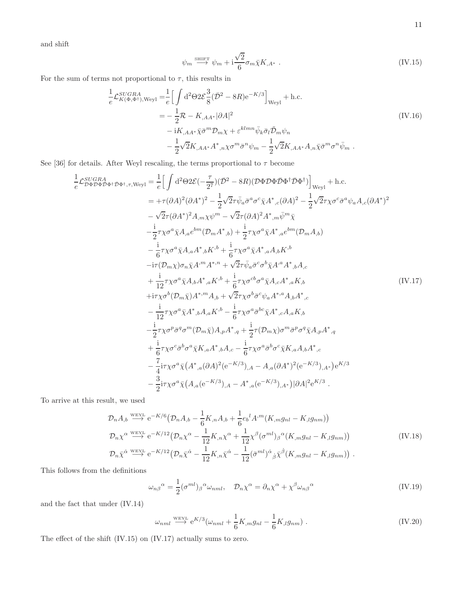and shift

$$
\psi_m \stackrel{\text{shiff}}{\longrightarrow} \psi_m + \mathrm{i} \frac{\sqrt{2}}{6} \sigma_m \bar{\chi} K_{,A^*} . \tag{IV.15}
$$

For the sum of terms not proportional to  $\tau,$  this results in

$$
\frac{1}{e} \mathcal{L}_{K(\Phi,\Phi^{\dagger}),\text{Weyl}}^{SUGRA} = \frac{1}{e} \Big[ \int d^2 \Theta 2 \mathcal{E} \frac{3}{8} (\bar{\mathcal{D}}^2 - 8R) e^{-K/3} \Big]_{\text{Weyl}} + \text{h.c.}
$$
\n
$$
= -\frac{1}{2} \mathcal{R} - K_{,AA^*} |\partial A|^2
$$
\n
$$
-iK_{,AA^*} \bar{\chi} \bar{\sigma}^m \mathcal{D}_m \chi + \varepsilon^{klmn} \bar{\psi}_k \bar{\sigma}_l \tilde{\mathcal{D}}_m \psi_n
$$
\n
$$
- \frac{1}{2} \sqrt{2} K_{,AA^*} A^*,{}_n \chi \sigma^m \bar{\sigma}^n \psi_m - \frac{1}{2} \sqrt{2} K_{,AA^*} A_{,n} \bar{\chi} \bar{\sigma}^m \sigma^n \bar{\psi}_m .
$$
\n(IV.16)

See [36] for details. After Weyl rescaling, the terms proportional to  $\tau$  become

$$
\frac{1}{e}\mathcal{L}_{\mathcal{D}\Phi\mathcal{D}\Phi\mathcal{D}\Phi^{\dagger},\tau,\text{Weyl}} = \frac{1}{e}\Big[\int d^{2}\Theta 2\mathcal{E}(-\frac{\tau}{27})(\bar{D}^{2} - 8R)(\mathcal{D}\Phi\mathcal{D}\Phi\bar{\Phi}\Phi^{\dagger}\bar{\mathcal{D}}\Phi^{\dagger})\Big]_{\text{Weyl}} + \text{h.c.}
$$
\n
$$
= +\tau(\partial A)^{2}(\partial A^{*})^{2} - \frac{1}{2}\sqrt{2}\tau\bar{\psi}_{a}\bar{\sigma}^{a}\sigma^{c}\bar{\chi}A^{*},c(\partial A)^{2} - \frac{1}{2}\sqrt{2}\tau\chi\sigma^{c}\bar{\sigma}^{a}\psi_{a}A_{,c}(\partial A^{*})^{2}
$$
\n
$$
-\sqrt{2}\tau(\partial A^{*})^{2}A_{,m}\chi\psi^{m} - \sqrt{2}\tau(\partial A)^{2}A^{*},m\bar{\psi}^{m}\bar{\chi}
$$
\n
$$
-\frac{i}{2}\tau\chi\sigma^{a}\bar{\chi}A_{,a}e^{bm}(\mathcal{D}_{m}A^{*},b) + \frac{i}{2}\tau\chi\sigma^{a}\bar{\chi}A^{*},ae^{bm}(\mathcal{D}_{m}A_{,b})
$$
\n
$$
-\frac{i}{6}\tau\chi\sigma^{a}\bar{\chi}A_{,a}A^{*},bK^{,b} + \frac{i}{6}\tau\chi\sigma^{a}\bar{\chi}A^{*},aA_{,b}K^{,b}
$$
\n
$$
-i\tau(\mathcal{D}_{m}\chi)\sigma_{n}\bar{\chi}A^{m}A^{*},n + \sqrt{2}\tau\bar{\psi}_{a}\bar{\sigma}^{c}\sigma^{b}\chi A^{*}A^{*},aA_{,b}.
$$
\n
$$
+ \frac{i}{12}\tau\chi\sigma^{a}\bar{\chi}A_{,b}A^{*},aK^{,b} + \frac{i}{6}\tau\chi\sigma^{c\dot{b}}\sigma^{a}\bar{\chi}A_{,c}A^{*},aK_{,b}
$$
\n
$$
-\frac{i}{12}\tau\chi\sigma^{a}\bar{\chi}A_{,b}A^{*},aK^{,b} - \frac{i}{6}\tau\chi\sigma^{a}\bar{\sigma}^{c}\psi_{a}A^{*},aA_{,b}.
$$
\n $$ 

To arrive at this result, we used

$$
\mathcal{D}_{n}A_{,b} \stackrel{\text{WEYL}}{\longrightarrow} e^{-K/6} \left( \mathcal{D}_{n}A_{,b} - \frac{1}{6}K_{,n}A_{,b} + \frac{1}{6}e_{b}^{l}A^{,m}(K_{,m}g_{nl} - K_{,l}g_{nm}) \right) \n\mathcal{D}_{n}\chi^{\alpha} \stackrel{\text{WEYL}}{\longrightarrow} e^{-K/12} \left( \mathcal{D}_{n}\chi^{\alpha} - \frac{1}{12}K_{,n}\chi^{\alpha} + \frac{1}{12}\chi^{\beta}(\sigma^{ml})_{\beta}{}^{\alpha}(K_{,m}g_{nl} - K_{,l}g_{nm}) \right) \n\mathcal{D}_{n}\bar{\chi}^{\dot{\alpha}} \stackrel{\text{WEYL}}{\longrightarrow} e^{-K/12} \left( \mathcal{D}_{n}\bar{\chi}^{\dot{\alpha}} - \frac{1}{12}K_{,n}\bar{\chi}^{\dot{\alpha}} - \frac{1}{12}(\bar{\sigma}^{ml})^{\dot{\alpha}}{}_{\dot{\beta}}\bar{\chi}^{\dot{\beta}}(K_{,m}g_{nl} - K_{,l}g_{nm}) \right).
$$
\n(IV.18)

This follows from the definitions

$$
\omega_{n\beta}{}^{\alpha} = \frac{1}{2} (\sigma^{ml})_{\beta}{}^{\alpha} \omega_{nml}, \quad \mathcal{D}_n \chi^{\alpha} = \partial_n \chi^{\alpha} + \chi^{\beta} \omega_{n\beta}{}^{\alpha}
$$
 (IV.19)

and the fact that under (IV.14)

$$
\omega_{nml} \stackrel{\text{WEYL}}{\longrightarrow} e^{K/3}(\omega_{nml} + \frac{1}{6}K_{,m}g_{nl} - \frac{1}{6}K_{,l}g_{nm}). \tag{IV.20}
$$

The effect of the shift (IV.15) on (IV.17) actually sums to zero.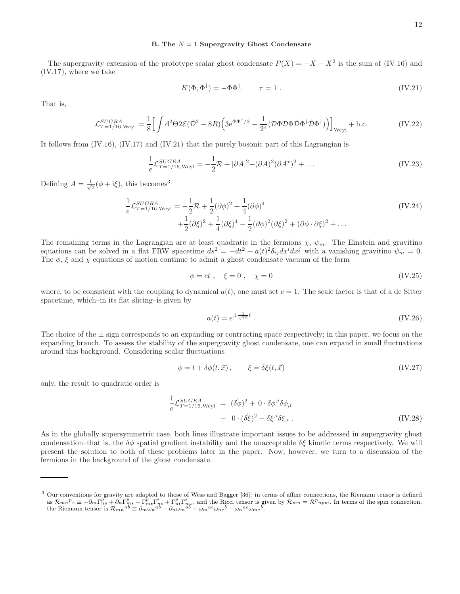The supergravity extension of the prototype scalar ghost condensate  $P(X) = -X + X^2$  is the sum of (IV.16) and (IV.17), where we take

$$
K(\Phi, \Phi^{\dagger}) = -\Phi \Phi^{\dagger}, \qquad \tau = 1. \tag{IV.21}
$$

That is,

$$
\mathcal{L}_{T=1/16, \text{Weyl}}^{SUGRA} = \frac{1}{8} \Big[ \int d^2\Theta 2\mathcal{E}(\bar{\mathcal{D}}^2 - 8R) \Big( 3e^{\Phi\Phi^{\dagger}/3} - \frac{1}{2^4} (\mathcal{D}\Phi \mathcal{D}\Phi \bar{\mathcal{D}}\Phi^{\dagger} \bar{\mathcal{D}}\Phi^{\dagger}) \Big) \Big]_{\text{Weyl}} + \text{h.c.}
$$
 (IV.22)

It follows from (IV.16), (IV.17) and (IV.21) that the purely bosonic part of this Lagrangian is

$$
\frac{1}{e} \mathcal{L}_{T=1/16, \text{Weyl}}^{SUGRA} = -\frac{1}{2} \mathcal{R} + |\partial A|^2 + (\partial A)^2 (\partial A^*)^2 + \dots
$$
 (IV.23)

Defining  $A = \frac{1}{\sqrt{2}}$  $\frac{1}{2}(\phi + i\xi)$ , this becomes<sup>3</sup>

$$
\frac{1}{e} \mathcal{L}_{T=1/16, \text{Weyl}}^{SUGRA} = -\frac{1}{2} \mathcal{R} + \frac{1}{2} (\partial \phi)^2 + \frac{1}{4} (\partial \phi)^4 \n+ \frac{1}{2} (\partial \xi)^2 + \frac{1}{4} (\partial \xi)^4 - \frac{1}{2} (\partial \phi)^2 (\partial \xi)^2 + (\partial \phi \cdot \partial \xi)^2 + \dots
$$
\n(IV.24)

The remaining terms in the Lagrangian are at least quadratic in the fermions  $\chi$ ,  $\psi_m$ . The Einstein and gravitino equations can be solved in a flat FRW spacetime  $ds^2 = -dt^2 + a(t)^2 \delta_{ij} dx^i dx^j$  with a vanishing gravitino  $\psi_m = 0$ . The  $\phi$ ,  $\xi$  and  $\chi$  equations of motion continue to admit a ghost condensate vacuum of the form

$$
\phi = ct \; , \quad \xi = 0 \; , \quad \chi = 0 \tag{IV.25}
$$

where, to be consistent with the coupling to dynamical  $a(t)$ , one must set  $c = 1$ . The scale factor is that of a de Sitter spacetime, which–in its flat slicing–is given by

$$
a(t) = e^{\pm \frac{1}{\sqrt{12}}t} \tag{IV.26}
$$

The choice of the  $\pm$  sign corresponds to an expanding or contracting space respectively; in this paper, we focus on the expanding branch. To assess the stability of the supergravity ghost condensate, one can expand in small fluctuations around this background. Considering scalar fluctuations

$$
\phi = t + \delta\phi(t, \vec{x}), \qquad \xi = \delta\xi(t, \vec{x}) \tag{IV.27}
$$

only, the result to quadratic order is

$$
\frac{1}{e} \mathcal{L}_{T=1/16, \text{Weyl}}^{SUGRA} = (\delta \phi)^2 + 0 \cdot \delta \phi^{i} \delta \phi_{,i} \n+ 0 \cdot (\delta \xi)^2 + \delta \xi^{i} \delta \xi_{,i} .
$$
\n(IV.28)

As in the globally supersymmetric case, both lines illustrate important issues to be addressed in supergravity ghost condensation–that is, the  $\delta\phi$  spatial gradient instability and the unacceptable  $\delta\xi$  kinetic terms respectively. We will present the solution to both of these problems later in the paper. Now, however, we turn to a discussion of the fermions in the background of the ghost condensate.

<sup>&</sup>lt;sup>3</sup> Our conventions for gravity are adapted to those of Wess and Bagger [36]: in terms of affine connections, the Riemann tensor is defined as  $\mathcal{R}_{mn}{}^p{}_s \equiv -\partial_m \Gamma^p_{ns} + \partial_n \Gamma^p_{ns} - \Gamma^p_{mt} \Gamma^t_{ns} + \Gamma^p_{nt} \Gamma^t_{ms}$ , and the Ricci tensor is given by  $\mathcal{R}_{mn} = \mathcal{R}^p{}_{npm}$ . In terms of the spin connection, the Riemann tensor is  $\mathcal{R}_{mn}{}^{ab} \equiv \partial_m \omega_n{}^{ab} - \partial_n \omega_m{}^{ab} + \omega_m{}^{ac} \omega_{nc}{}^b - \omega_n{}^{ac} \omega_{mc}{}^b$ .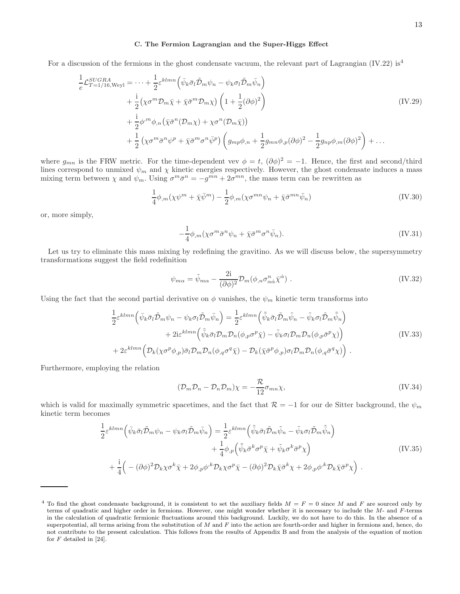#### C. The Fermion Lagrangian and the Super-Higgs Effect

For a discussion of the fermions in the ghost condensate vacuum, the relevant part of Lagrangian (IV.22) is<sup>4</sup>

$$
\frac{1}{e} \mathcal{L}_{T=1/16, \text{Weyl}}^{SUGRA} = \dots + \frac{1}{2} \varepsilon^{klmn} \left( \bar{\psi}_k \bar{\sigma}_l \tilde{\mathcal{D}}_m \psi_n - \psi_k \sigma_l \tilde{\mathcal{D}}_m \bar{\psi}_n \right) \n+ \frac{i}{2} \left( \chi \sigma^m \mathcal{D}_m \bar{\chi} + \bar{\chi} \bar{\sigma}^m \mathcal{D}_m \chi \right) \left( 1 + \frac{1}{2} (\partial \phi)^2 \right) \n+ \frac{i}{2} \phi^m \phi_{,n} \left( \bar{\chi} \bar{\sigma}^n (\mathcal{D}_m \chi) + \chi \sigma^n (\mathcal{D}_m \bar{\chi}) \right) \n+ \frac{1}{2} \left( \chi \sigma^m \bar{\sigma}^n \psi^p + \bar{\chi} \bar{\sigma}^m \sigma^n \bar{\psi}^p \right) \left( g_{mp} \phi_{,n} + \frac{1}{2} g_{mn} \phi_{,p} (\partial \phi)^2 - \frac{1}{2} g_{np} \phi_{,m} (\partial \phi)^2 \right) + \dots
$$
\n
$$
(IV.29)
$$

where  $g_{mn}$  is the FRW metric. For the time-dependent vev  $\phi = t$ ,  $(\partial \phi)^2 = -1$ . Hence, the first and second/third lines correspond to unmixed  $\psi_m$  and  $\chi$  kinetic energies respectively. However, the ghost condensate induces a mass mixing term between  $\chi$  and  $\psi_m$ . Using  $\sigma^m \bar{\sigma}^n = -g^{mn} + 2\sigma^{mn}$ , the mass term can be rewritten as

$$
\frac{1}{4}\phi_{,m}(\chi\psi^m + \bar{\chi}\bar{\psi}^m) - \frac{1}{2}\phi_{,m}(\chi\sigma^{mn}\psi_n + \bar{\chi}\bar{\sigma}^{mn}\bar{\psi}_n)
$$
(IV.30)

or, more simply,

$$
-\frac{1}{4}\phi_{,m}(\chi\sigma^m\bar{\sigma}^n\psi_n+\bar{\chi}\bar{\sigma}^m\sigma^n\bar{\psi}_n). \tag{IV.31}
$$

Let us try to eliminate this mass mixing by redefining the gravitino. As we will discuss below, the supersymmetry transformations suggest the field redefinition

$$
\psi_{m\alpha} = \tilde{\psi}_{m\alpha} - \frac{2i}{(\partial \phi)^2} \mathcal{D}_m(\phi_{,n} \sigma_{\alpha \dot{\alpha}}^n \bar{\chi}^{\dot{\alpha}}) . \tag{IV.32}
$$

Using the fact that the second partial derivative on  $\phi$  vanishes, the  $\psi_m$  kinetic term transforms into

$$
\frac{1}{2} \varepsilon^{klmn} \left( \bar{\psi}_k \bar{\sigma}_l \tilde{D}_m \psi_n - \psi_k \sigma_l \tilde{D}_m \bar{\psi}_n \right) = \frac{1}{2} \varepsilon^{klmn} \left( \tilde{\bar{\psi}}_k \bar{\sigma}_l \tilde{D}_m \tilde{\psi}_n - \tilde{\psi}_k \sigma_l \tilde{D}_m \tilde{\bar{\psi}}_n \right) \n+ 2i \varepsilon^{klmn} \left( \tilde{\bar{\psi}}_k \bar{\sigma}_l D_m D_n (\phi_{,p} \sigma^p \bar{\chi}) - \tilde{\psi}_k \sigma_l D_m D_n (\phi_{,p} \bar{\sigma}^p \chi) \right) \n+ 2\varepsilon^{klmn} \left( D_k (\chi \sigma^p \phi_{,p}) \bar{\sigma}_l D_m D_n (\phi_{,q} \sigma^q \bar{\chi}) - D_k (\bar{\chi} \bar{\sigma}^p \phi_{,p}) \sigma_l D_m D_n (\phi_{,q} \bar{\sigma}^q \chi) \right).
$$
\n(IV.33)

Furthermore, employing the relation

$$
(\mathcal{D}_m \mathcal{D}_n - \mathcal{D}_n \mathcal{D}_m)\chi = -\frac{\mathcal{R}}{12}\sigma_{mn}\chi,\tag{IV.34}
$$

which is valid for maximally symmetric spacetimes, and the fact that  $\mathcal{R} = -1$  for our de Sitter background, the  $\psi_m$ kinetic term becomes

$$
\frac{1}{2} \varepsilon^{klmn} \left( \bar{\psi}_k \bar{\sigma}_l \tilde{D}_m \psi_n - \psi_k \sigma_l \tilde{D}_m \bar{\psi}_n \right) = \frac{1}{2} \varepsilon^{klmn} \left( \tilde{\bar{\psi}}_k \bar{\sigma}_l \tilde{D}_m \tilde{\psi}_n - \tilde{\psi}_k \sigma_l \tilde{D}_m \tilde{\bar{\psi}}_n \right) \n+ \frac{1}{4} \phi_{,p} \left( \tilde{\bar{\psi}}_k \bar{\sigma}^k \sigma^p \bar{\chi} + \tilde{\psi}_k \sigma^k \bar{\sigma}^p \chi \right) \n+ \frac{i}{4} \left( - (\partial \phi)^2 \mathcal{D}_k \chi \sigma^k \bar{\chi} + 2 \phi_{,p} \phi^{,k} \mathcal{D}_k \chi \sigma^p \bar{\chi} - (\partial \phi)^2 \mathcal{D}_k \bar{\chi} \bar{\sigma}^k \chi + 2 \phi_{,p} \phi^{,k} \mathcal{D}_k \bar{\chi} \bar{\sigma}^p \chi \right).
$$
\n(IV.35)

<sup>&</sup>lt;sup>4</sup> To find the ghost condensate background, it is consistent to set the auxiliary fields  $M = F = 0$  since M and F are sourced only by terms of quadratic and higher order in fermions. However, one might wonder whether it is necessary to include the M- and F-terms in the calculation of quadratic fermionic fluctuations around this background. Luckily, we do not have to do this. In the absence of a superpotential, all terms arising from the substitution of  $M$  and  $F$  into the action are fourth-order and higher in fermions and, hence, do not contribute to the present calculation. This follows from the results of Appendix B and from the analysis of the equation of motion for  $F$  detailed in [24].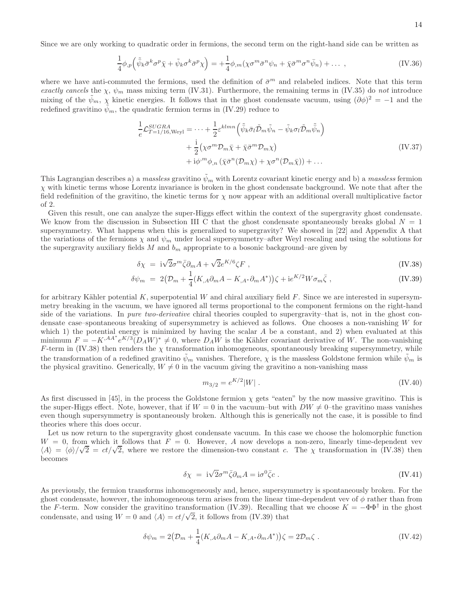$$
\frac{1}{4}\phi_{,p}\left(\tilde{\psi}_{k}\bar{\sigma}^{k}\sigma^{p}\bar{\chi}+\tilde{\psi}_{k}\sigma^{k}\bar{\sigma}^{p}\chi\right)=+\frac{1}{4}\phi_{,m}(\chi\sigma^{m}\bar{\sigma}^{n}\psi_{n}+\bar{\chi}\bar{\sigma}^{m}\sigma^{n}\bar{\psi}_{n})+\dots,
$$
\n(IV.36)

where we have anti-commuted the fermions, used the definition of  $\bar{\sigma}^m$  and relabeled indices. Note that this term exactly cancels the  $\chi$ ,  $\psi_m$  mass mixing term (IV.31). Furthermore, the remaining terms in (IV.35) do not introduce mixing of the  $\tilde{\psi}_m$ ,  $\chi$  kinetic energies. It follows that in the ghost condensate vacuum, using  $(\partial \phi)^2 = -1$  and the redefined gravitino  $\psi_m$ , the quadratic fermion terms in (IV.29) reduce to

$$
\frac{1}{e} \mathcal{L}_{T=1/16, \text{Weyl}}^{SUGRA} = \dots + \frac{1}{2} \varepsilon^{klmn} \left( \tilde{\bar{\psi}}_k \bar{\sigma}_l \tilde{\mathcal{D}}_m \tilde{\psi}_n - \tilde{\psi}_k \sigma_l \tilde{\mathcal{D}}_m \tilde{\psi}_n \right) \n+ \frac{i}{2} \left( \chi \sigma^m \mathcal{D}_m \bar{\chi} + \bar{\chi} \bar{\sigma}^m \mathcal{D}_m \chi \right) \n+ i \phi^m \phi_{,n} \left( \bar{\chi} \bar{\sigma}^n (\mathcal{D}_m \chi) + \chi \sigma^n (\mathcal{D}_m \bar{\chi}) \right) + \dots
$$
\n(IV.37)

This Lagrangian describes a) a massless gravitino  $\tilde{\psi}_m$  with Lorentz covariant kinetic energy and b) a massless fermion  $\chi$  with kinetic terms whose Lorentz invariance is broken in the ghost condensate background. We note that after the field redefinition of the gravitino, the kinetic terms for  $\chi$  now appear with an additional overall multiplicative factor of 2.

Given this result, one can analyze the super-Higgs effect within the context of the supergravity ghost condensate. We know from the discussion in Subsection III C that the ghost condensate spontaneously breaks global  $N = 1$ supersymmetry. What happens when this is generalized to supergravity? We showed in [22] and Appendix A that the variations of the fermions  $\chi$  and  $\psi_m$  under local supersymmetry–after Weyl rescaling and using the solutions for the supergravity auxiliary fields  $M$  and  $b_m$  appropriate to a bosonic background–are given by

$$
\delta \chi = i\sqrt{2}\sigma^m \bar{\zeta} \partial_m A + \sqrt{2}e^{K/6} \zeta F , \qquad (IV.38)
$$

$$
\delta\psi_m = 2\left(\mathcal{D}_m + \frac{1}{4}(K_{,A}\partial_m A - K_{,A^*}\partial_m A^*)\right)\zeta + i e^{K/2}W\sigma_m\bar{\zeta} ,\qquad (IV.39)
$$

for arbitrary Kähler potential K, superpotential W and chiral auxiliary field  $F$ . Since we are interested in supersymmetry breaking in the vacuum, we have ignored all terms proportional to the component fermions on the right-hand side of the variations. In pure two-derivative chiral theories coupled to supergravity–that is, not in the ghost condensate case–spontaneous breaking of supersymmetry is achieved as follows. One chooses a non-vanishing W for which 1) the potential energy is minimized by having the scalar  $A$  be a constant, and 2) when evaluated at this minimum  $F = -K^{A}A^*e^{K/3}(D_A W)^* \neq 0$ , where  $D_A W$  is the Kähler covariant derivative of W. The non-vanishing F-term in (IV.38) then renders the  $\chi$  transformation inhomogeneous, spontaneously breaking supersymmetry, while the transformation of a redefined gravitino  $\psi_m$  vanishes. Therefore,  $\chi$  is the massless Goldstone fermion while  $\psi_m$  is the physical gravitino. Generically,  $W \neq 0$  in the vacuum giving the gravitino a non-vanishing mass

$$
m_{3/2} = e^{K/2} |W| \tag{IV.40}
$$

As first discussed in [45], in the process the Goldstone fermion  $\chi$  gets "eaten" by the now massive gravitino. This is the super-Higgs effect. Note, however, that if  $W = 0$  in the vacuum–but with  $DW \neq 0$ –the gravitino mass vanishes even though supersymmetry is spontaneously broken. Although this is generically not the case, it is possible to find theories where this does occur.

Let us now return to the supergravity ghost condensate vacuum. In this case we choose the holomorphic function  $W = 0$ , from which it follows that  $F = 0$ . However, A now develops a non-zero, linearly time-dependent vev  $\langle A \rangle = \langle \phi \rangle / \sqrt{2} = ct/\sqrt{2}$ , where we restore the dimension-two constant c. The  $\chi$  transformation in (IV.38) then becomes

$$
\delta \chi = i\sqrt{2}\sigma^m \bar{\zeta} \partial_m A = i\sigma^0 \bar{\zeta} c \ . \tag{IV.41}
$$

As previously, the fermion transforms inhomogeneously and, hence, supersymmetry is spontaneously broken. For the ghost condensate, however, the inhomogeneous term arises from the linear time-dependent vev of  $\phi$  rather than from the F-term. Now consider the gravitino transformation (IV.39). Recalling that we choose  $K = -\Phi\Phi^{\dagger}$  in the ghost condensate, and using  $W = 0$  and  $\langle A \rangle = ct/\sqrt{2}$ , it follows from (IV.39) that

$$
\delta\psi_m = 2\left(\mathcal{D}_m + \frac{1}{4}(K_{,A}\partial_m A - K_{,A^*}\partial_m A^*)\right)\zeta = 2\mathcal{D}_m\zeta.
$$
 (IV.42)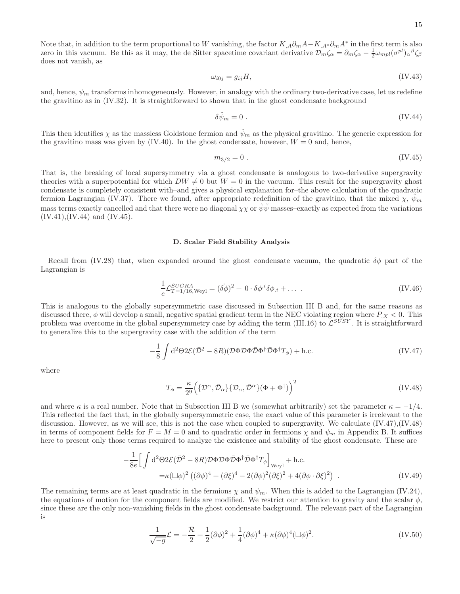Note that, in addition to the term proportional to W vanishing, the factor  $K_{,A}\partial_m A - K_{,A^*}\partial_m A^*$  in the first term is also zero in this vacuum. Be this as it may, the de Sitter spacetime covariant derivative  $\mathcal{D}_m \zeta_\alpha = \partial_m \zeta_\alpha - \frac{1}{2} \omega_{mpl} (\sigma^{pl})_\alpha{}^\beta \zeta_\beta$ does not vanish, as

$$
\omega_{i0j} = g_{ij}H,\tag{IV.43}
$$

and, hence,  $\psi_m$  transforms inhomogeneously. However, in analogy with the ordinary two-derivative case, let us redefine the gravitino as in (IV.32). It is straightforward to shown that in the ghost condensate background

$$
\delta \tilde{\psi}_m = 0 \tag{IV.44}
$$

This then identifies  $\chi$  as the massless Goldstone fermion and  $\psi_m$  as the physical gravitino. The generic expression for the gravitino mass was given by  $(IV.40)$ . In the ghost condensate, however,  $W = 0$  and, hence,

$$
m_{3/2} = 0 \tag{IV.45}
$$

That is, the breaking of local supersymmetry via a ghost condensate is analogous to two-derivative supergravity theories with a superpotential for which  $DW \neq 0$  but  $W = 0$  in the vacuum. This result for the supergravity ghost condensate is completely consistent with–and gives a physical explanation for–the above calculation of the quadratic fermion Lagrangian (IV.37). There we found, after appropriate redefinition of the gravitino, that the mixed  $\chi$ ,  $\psi_m$ mass terms exactly cancelled and that there were no diagonal  $\chi\chi$  or  $\bar{\psi}\psi$  masses–exactly as expected from the variations  $(IV.41), (IV.44)$  and  $(IV.45).$ 

#### D. Scalar Field Stability Analysis

Recall from (IV.28) that, when expanded around the ghost condensate vacuum, the quadratic  $\delta\phi$  part of the Lagrangian is

$$
\frac{1}{e} \mathcal{L}_{T=1/16, \text{Weyl}}^{SUGRA} = (\dot{\delta\phi})^2 + 0 \cdot \delta\phi^{i\delta\phi}, i + \dots
$$
\n(IV.46)

This is analogous to the globally supersymmetric case discussed in Subsection III B and, for the same reasons as discussed there,  $\phi$  will develop a small, negative spatial gradient term in the NEC violating region where  $P_{,X} < 0$ . This problem was overcome in the global supersymmetry case by adding the term (III.16) to  $\mathcal{L}^{SUSY}$ . It is straightforward to generalize this to the supergravity case with the addition of the term

$$
-\frac{1}{8} \int d^2\Theta 2\mathcal{E}(\bar{\mathcal{D}}^2 - 8R)(\mathcal{D}\Phi \mathcal{D}\Phi \bar{\mathcal{D}}\Phi^\dagger \bar{\mathcal{D}}\Phi^\dagger T_\phi) + \text{h.c.} \tag{IV.47}
$$

where

$$
T_{\phi} = \frac{\kappa}{2^9} \left( \{ \mathcal{D}^{\alpha}, \bar{\mathcal{D}}_{\dot{\alpha}} \} \{ \mathcal{D}_{\alpha}, \bar{\mathcal{D}}^{\dot{\alpha}} \} (\Phi + \Phi^{\dagger}) \right)^2 \tag{IV.48}
$$

and where  $\kappa$  is a real number. Note that in Subsection III B we (somewhat arbitrarily) set the parameter  $\kappa = -1/4$ . This reflected the fact that, in the globally supersymmetric case, the exact value of this parameter is irrelevant to the discussion. However, as we will see, this is not the case when coupled to supergravity. We calculate (IV.47),(IV.48) in terms of component fields for  $F = M = 0$  and to quadratic order in fermions  $\chi$  and  $\psi_m$  in Appendix B. It suffices here to present only those terms required to analyze the existence and stability of the ghost condensate. These are

$$
-\frac{1}{8e} \Big[ \int d^2\Theta 2\mathcal{E}(\bar{\mathcal{D}}^2 - 8R) \mathcal{D}\Phi \mathcal{D}\Phi \bar{\mathcal{D}}\Phi^\dagger \bar{\mathcal{D}}\Phi^\dagger T_\phi \Big]_{\text{Weyl}} + \text{h.c.}
$$
  
=\kappa (\Box \phi)^2 \left( (\partial \phi)^4 + (\partial \xi)^4 - 2(\partial \phi)^2 (\partial \xi)^2 + 4(\partial \phi \cdot \partial \xi)^2 \right) . \tag{IV.49}

The remaining terms are at least quadratic in the fermions  $\chi$  and  $\psi_m$ . When this is added to the Lagrangian (IV.24), the equations of motion for the component fields are modified. We restrict our attention to gravity and the scalar  $\phi$ , since these are the only non-vanishing fields in the ghost condensate background. The relevant part of the Lagrangian is

$$
\frac{1}{\sqrt{-g}}\mathcal{L} = -\frac{\mathcal{R}}{2} + \frac{1}{2}(\partial\phi)^2 + \frac{1}{4}(\partial\phi)^4 + \kappa(\partial\phi)^4(\Box\phi)^2.
$$
 (IV.50)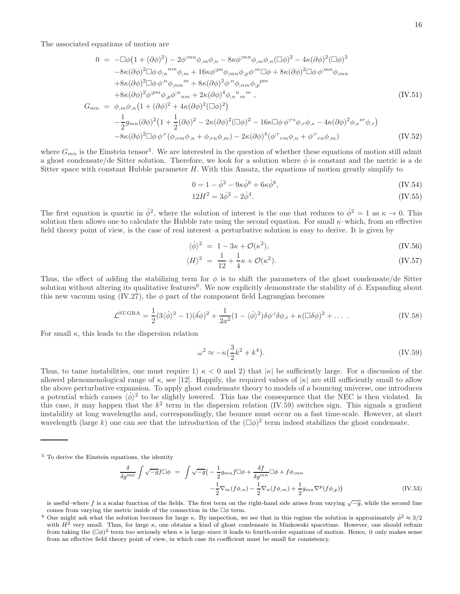The associated equations of motion are

$$
0 = -\Box \phi (1 + (\partial \phi)^2) - 2\phi^{mn} \phi_{,m} \phi_{,n} - 8\kappa \phi^{mn} \phi_{,m} \phi_{,n} (\Box \phi)^2 - 4\kappa (\partial \phi)^2 (\Box \phi)^3
$$
  
\n
$$
-8\kappa (\partial \phi)^2 \Box \phi \phi_{,n}{}^{nm} \phi_{,m} + 16\kappa \phi^{ipn} \phi_{;mn} \phi_{,p} \phi^{,m} \Box \phi + 8\kappa (\partial \phi)^2 \Box \phi \phi^{;mn} \phi_{;mn}
$$
  
\n
$$
+8\kappa (\partial \phi)^2 \Box \phi \phi^{,n} \phi_{,nm}{}^m + 8\kappa (\partial \phi)^2 \phi^{,n} \phi_{,nm} \phi_{,p}{}^{pm}
$$
  
\n
$$
+8\kappa (\partial \phi)^2 \phi^{;pm} \phi_{,p} \phi^{,n}{}_{nm} + 2\kappa (\partial \phi)^2 \phi^{,n} \phi_{,nm} \phi_{,p}{}^{pm}
$$
  
\n
$$
G_{mn} = \phi_{,m} \phi_{,n} (1 + (\partial \phi)^2 + 4\kappa (\partial \phi)^2 (\Box \phi)^2)
$$
  
\n
$$
-\frac{1}{2} g_{mn} (\partial \phi)^2 (1 + \frac{1}{2} (\partial \phi)^2 - 2\kappa (\partial \phi)^2 (\Box \phi)^2 - 16\kappa \Box \phi \phi^{;rs} \phi_{,r} \phi_{,s} - 4\kappa (\partial \phi)^2 \phi_{,s}{}^{sr} \phi_{,r})
$$
  
\n(IV.51)

$$
-8\kappa(\partial\phi)^{2}\Box\phi\,\phi^{r}(\phi_{;rm}\phi_{,n}+\phi_{;rm}\phi_{,m})-2\kappa(\partial\phi)^{4}(\phi^{;r}{}_{rm}\phi_{,n}+\phi^{;r}{}_{rm}\phi_{,m})
$$
\n(IV.52)

where  $G_{mn}$  is the Einstein tensor<sup>5</sup>. We are interested in the question of whether these equations of motion still admit a ghost condensate/de Sitter solution. Therefore, we look for a solution where  $\dot{\phi}$  is constant and the metric is a de Sitter space with constant Hubble parameter H. With this Ansatz, the equations of motion greatly simplify to

$$
0 = 1 - \dot{\phi}^2 - 9\kappa \dot{\phi}^6 + 6\kappa \dot{\phi}^8,\tag{IV.54}
$$

$$
12H^2 = 3\dot{\phi}^2 - 2\dot{\phi}^4. \tag{IV.55}
$$

The first equation is quartic in  $\dot{\phi}^2$ , where the solution of interest is the one that reduces to  $\dot{\phi}^2 = 1$  as  $\kappa \to 0$ . This solution then allows one to calculate the Hubble rate using the second equation. For small  $\kappa$ –which, from an effective field theory point of view, is the case of real interest–a perturbative solution is easy to derive. It is given by

$$
\langle \dot{\phi} \rangle^2 = 1 - 3\kappa + \mathcal{O}(\kappa^2), \tag{IV.56}
$$

$$
\langle H \rangle^2 = \frac{1}{12} + \frac{1}{4}\kappa + \mathcal{O}(\kappa^2). \tag{IV.57}
$$

Thus, the effect of adding the stabilizing term for  $\phi$  is to shift the parameters of the ghost condensate/de Sitter solution without altering its qualitative features<sup>6</sup>. We now explicitly demonstrate the stability of  $\phi$ . Expanding about this new vacuum using (IV.27), the  $\phi$  part of the component field Lagrangian becomes

$$
\mathcal{L}^{\text{SUGRA}} = \frac{1}{2} (3 \langle \dot{\phi} \rangle^2 - 1) (\dot{\delta \phi})^2 + \frac{1}{2a^2} (1 - \langle \dot{\phi} \rangle^2) \delta \phi^{i\dot{\delta}} \phi_{,i} + \kappa (\Box \delta \phi)^2 + \dots \tag{IV.58}
$$

For small  $\kappa$ , this leads to the dispersion relation

$$
\omega^2 \approx -\kappa \left(\frac{3}{2}k^2 + k^4\right). \tag{IV.59}
$$

Thus, to tame instabilities, one must require 1)  $\kappa < 0$  and 2) that  $|\kappa|$  be sufficiently large. For a discussion of the allowed phenomenological range of  $\kappa$ , see [12]. Happily, the required values of  $|\kappa|$  are still sufficiently small to allow the above perturbative expansion. To apply ghost condensate theory to models of a bouncing universe, one introduces a potential which causes  $\langle \phi \rangle^2$  to be slightly lowered. This has the consequence that the NEC is then violated. In this case, it may happen that the  $k^2$  term in the dispersion relation (IV.59) switches sign. This signals a gradient instability at long wavelengths and, correspondingly, the bounce must occur on a fast time-scale. However, at short wavelength (large k) one can see that the introduction of the  $(\Box \phi)^2$  term indeed stabilizes the ghost condensate.

$$
\frac{\delta}{\delta g^{mn}} \int \sqrt{-g} f \Box \phi = \int \sqrt{-g} \left( -\frac{1}{2} g_{mn} f \Box \phi + \frac{\delta f}{\delta g^{mn}} \Box \phi + f \phi_{;mn} \right. \left. -\frac{1}{2} \nabla_m (f \phi_{,n}) - \frac{1}{2} \nabla_n (f \phi_{,m}) + \frac{1}{2} g_{mn} \nabla^p (f \phi_{,p}) \right)
$$
\n(IV.53)

<sup>5</sup> To derive the Einstein equations, the identity

is useful–where f is a scalar function of the fields. The first term on the right-hand side arises from varying  $\sqrt{-g}$ , while the second line comes from varying the metric inside of the connection in the  $\Box \phi$  term.

<sup>&</sup>lt;sup>6</sup> One might ask what the solution becomes for large  $\kappa$ . By inspection, we see that in this regime the solution is approximately  $\dot{\phi}^2 \approx 3/2$ with  $H^2$  very small. Thus, for large  $\kappa$ , one obtains a kind of ghost condensate in Minkowski spacetime. However, one should refrain from taking the  $(\Box \phi)^2$  term too seriously when  $\kappa$  is large–since it leads to fourth-order equations of motion. Hence, it only makes sense from an effective field theory point of view, in which case its coefficient must be small for consistency.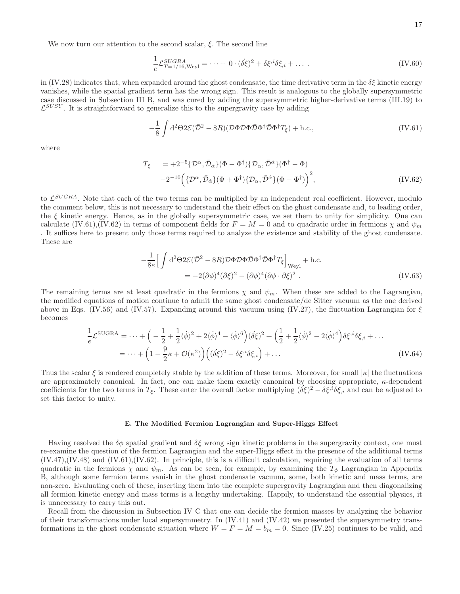We now turn our attention to the second scalar,  $\xi$ . The second line

$$
\frac{1}{e} \mathcal{L}_{T=1/16, \text{Weyl}}^{SUGRA} = \dots + 0 \cdot (\dot{\delta \xi})^2 + \delta \xi^{i} \delta \xi_{,i} + \dots \tag{IV.60}
$$

in (IV.28) indicates that, when expanded around the ghost condensate, the time derivative term in the  $\delta \xi$  kinetic energy vanishes, while the spatial gradient term has the wrong sign. This result is analogous to the globally supersymmetric case discussed in Subsection III B, and was cured by adding the supersymmetric higher-derivative terms (III.19) to  $\mathcal{L}^{SUSY}$ . It is straightforward to generalize this to the supergravity case by adding

$$
-\frac{1}{8} \int d^2\Theta 2\mathcal{E}(\bar{\mathcal{D}}^2 - 8R)(\mathcal{D}\Phi \mathcal{D}\Phi \bar{\mathcal{D}}\Phi^\dagger \bar{\mathcal{D}}\Phi^\dagger T_\xi) + \text{h.c.},\tag{IV.61}
$$

where

$$
T_{\xi} = +2^{-5} \{ \mathcal{D}^{\alpha}, \bar{\mathcal{D}}_{\dot{\alpha}} \} (\Phi - \Phi^{\dagger}) \{ \mathcal{D}_{\alpha}, \bar{\mathcal{D}}^{\dot{\alpha}} \} (\Phi^{\dagger} - \Phi) -2^{-10} \left( \{ \mathcal{D}^{\alpha}, \bar{\mathcal{D}}_{\dot{\alpha}} \} (\Phi + \Phi^{\dagger}) \{ \mathcal{D}_{\alpha}, \bar{\mathcal{D}}^{\dot{\alpha}} \} (\Phi - \Phi^{\dagger}) \right)^{2},
$$
(IV.62)

to  $\mathcal{L}^{SUGRA}$ . Note that each of the two terms can be multiplied by an independent real coefficient. However, modulo the comment below, this is not necessary to understand the their effect on the ghost condensate and, to leading order, the  $\xi$  kinetic energy. Hence, as in the globally supersymmetric case, we set them to unity for simplicity. One can calculate (IV.61),(IV.62) in terms of component fields for  $F = M = 0$  and to quadratic order in fermions  $\chi$  and  $\psi_m$ . It suffices here to present only those terms required to analyze the existence and stability of the ghost condensate. These are

$$
-\frac{1}{8e} \Big[ \int d^2 \Theta 2\mathcal{E} (\bar{\mathcal{D}}^2 - 8R) \mathcal{D} \Phi \mathcal{D} \Phi \bar{\mathcal{D}} \Phi^\dagger \bar{\mathcal{D}} \Phi^\dagger T_\xi \Big]_{\text{Weyl}} + \text{h.c.}
$$
  
= 
$$
-2(\partial \phi)^4 (\partial \xi)^2 - (\partial \phi)^4 (\partial \phi \cdot \partial \xi)^2 . \tag{IV.63}
$$

The remaining terms are at least quadratic in the fermions  $\chi$  and  $\psi_m$ . When these are added to the Lagrangian, the modified equations of motion continue to admit the same ghost condensate/de Sitter vacuum as the one derived above in Eqs. (IV.56) and (IV.57). Expanding around this vacuum using (IV.27), the fluctuation Lagrangian for  $\xi$ becomes

$$
\frac{1}{e}\mathcal{L}^{\text{SUGRA}} = \dots + \left(-\frac{1}{2} + \frac{1}{2}\langle\dot{\phi}\rangle^2 + 2\langle\dot{\phi}\rangle^4 - \langle\dot{\phi}\rangle^6\right)(\dot{\delta}\xi)^2 + \left(\frac{1}{2} + \frac{1}{2}\langle\dot{\phi}\rangle^2 - 2\langle\dot{\phi}\rangle^4\right)\delta\xi^{i\delta}\xi_{i\delta} + \dots
$$
\n
$$
= \dots + \left(1 - \frac{9}{2}\kappa + \mathcal{O}(\kappa^2)\right)\left((\delta\xi)^2 - \delta\xi^{i\delta}\xi_{i\delta}\right) + \dots \tag{IV.64}
$$

Thus the scalar  $\xi$  is rendered completely stable by the addition of these terms. Moreover, for small  $|\kappa|$  the fluctuations are approximately canonical. In fact, one can make them exactly canonical by choosing appropriate, κ-dependent coefficients for the two terms in  $T_{\xi}$ . These enter the overall factor multiplying  $({\check{\delta}\xi})^2 - {\delta\xi}^i {\check{\delta}\xi}_i$  and can be adjusted to set this factor to unity.

#### E. The Modified Fermion Lagrangian and Super-Higgs Effect

Having resolved the  $\delta\phi$  spatial gradient and  $\delta\xi$  wrong sign kinetic problems in the supergravity context, one must re-examine the question of the fermion Lagrangian and the super-Higgs effect in the presence of the additional terms (IV.47),(IV.48) and (IV.61),(IV.62). In principle, this is a difficult calculation, requiring the evaluation of all terms quadratic in the fermions  $\chi$  and  $\psi_m$ . As can be seen, for example, by examining the  $T_{\phi}$  Lagrangian in Appendix B, although some fermion terms vanish in the ghost condensate vacuum, some, both kinetic and mass terms, are non-zero. Evaluating each of these, inserting them into the complete supergravity Lagrangian and then diagonalizing all fermion kinetic energy and mass terms is a lengthy undertaking. Happily, to understand the essential physics, it is unnecessary to carry this out.

Recall from the discussion in Subsection IV C that one can decide the fermion masses by analyzing the behavior of their transformations under local supersymmetry. In (IV.41) and (IV.42) we presented the supersymmetry transformations in the ghost condensate situation where  $W = F = M = b_m = 0$ . Since (IV.25) continues to be valid, and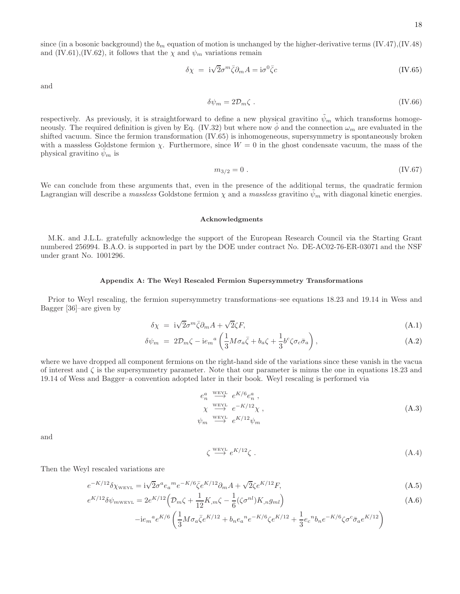since (in a bosonic background) the  $b_m$  equation of motion is unchanged by the higher-derivative terms (IV.47),(IV.48) and (IV.61),(IV.62), it follows that the  $\chi$  and  $\psi_m$  variations remain

$$
\delta \chi = i\sqrt{2}\sigma^m \bar{\zeta} \partial_m A = i\sigma^0 \bar{\zeta} c \tag{IV.65}
$$

and

$$
\delta\psi_m = 2\mathcal{D}_m\zeta\ .\tag{IV.66}
$$

respectively. As previously, it is straightforward to define a new physical gravitino  $\tilde{\psi}_m$  which transforms homogeneously. The required definition is given by Eq. (IV.32) but where now  $\dot{\phi}$  and the connection  $\omega_m$  are evaluated in the shifted vacuum. Since the fermion transformation (IV.65) is inhomogeneous, supersymmetry is spontaneously broken with a massless Goldstone fermion  $\chi$ . Furthermore, since  $W = 0$  in the ghost condensate vacuum, the mass of the physical gravitino  $\psi_m$  is

$$
m_{3/2} = 0 \tag{IV.67}
$$

We can conclude from these arguments that, even in the presence of the additional terms, the quadratic fermion Lagrangian will describe a massless Goldstone fermion  $\chi$  and a massless gravitino  $\psi_m$  with diagonal kinetic energies.

#### Acknowledgments

M.K. and J.L.L. gratefully acknowledge the support of the European Research Council via the Starting Grant numbered 256994. B.A.O. is supported in part by the DOE under contract No. DE-AC02-76-ER-03071 and the NSF under grant No. 1001296.

#### Appendix A: The Weyl Rescaled Fermion Supersymmetry Transformations

Prior to Weyl rescaling, the fermion supersymmetry transformations–see equations 18.23 and 19.14 in Wess and Bagger [36]–are given by

$$
\delta \chi = i\sqrt{2}\sigma^m \bar{\zeta}\partial_m A + \sqrt{2}\zeta F,\tag{A.1}
$$

$$
\delta\psi_m = 2\mathcal{D}_m\zeta - i e_m{}^a \left(\frac{1}{3}M\sigma_a\bar{\zeta} + b_a\zeta + \frac{1}{3}b^c\zeta\sigma_c\bar{\sigma}_a\right),\tag{A.2}
$$

where we have dropped all component fermions on the right-hand side of the variations since these vanish in the vacua of interest and  $\zeta$  is the supersymmetry parameter. Note that our parameter is minus the one in equations 18.23 and 19.14 of Wess and Bagger–a convention adopted later in their book. Weyl rescaling is performed via

$$
e_n^a \xrightarrow{\text{WEYL}} e^{K/6} e_n^a ,
$$
  

$$
\chi \xrightarrow{\text{WEYL}} e^{-K/12} \chi ,
$$
  

$$
\psi_m \xrightarrow{\text{WEYL}} e^{K/12} \psi_m
$$
 (A.3)

and

$$
\zeta \stackrel{\text{WEYL}}{\longrightarrow} e^{K/12} \zeta \tag{A.4}
$$

Then the Weyl rescaled variations are

$$
e^{-K/12}\delta\chi_{\text{WEYL}} = i\sqrt{2}\sigma^a e_a{}^m e^{-K/6}\bar{\zeta}e^{K/12}\partial_m A + \sqrt{2}\zeta e^{K/12}F,\tag{A.5}
$$

$$
e^{K/12}\delta\psi_{m{\rm Weyl}} = 2e^{K/12}\left(\mathcal{D}_m\zeta + \frac{1}{12}K_{,m}\zeta - \frac{1}{6}(\zeta\sigma^{nl})K_{,n}g_{ml}\right)
$$
(A.6)

$$
-{\rm i} e_{m}{}^{a}e^{K/6}\left(\frac{1}{3}M\sigma_{a}\bar{\zeta}e^{K/12}+b_{n}e_{a}{}^{n}e^{-K/6}\zeta e^{K/12}+\frac{1}{3}e_{c}{}^{n}b_{n}e^{-K/6}\zeta\sigma^{c}\bar{\sigma}_{a}e^{K/12}\right)
$$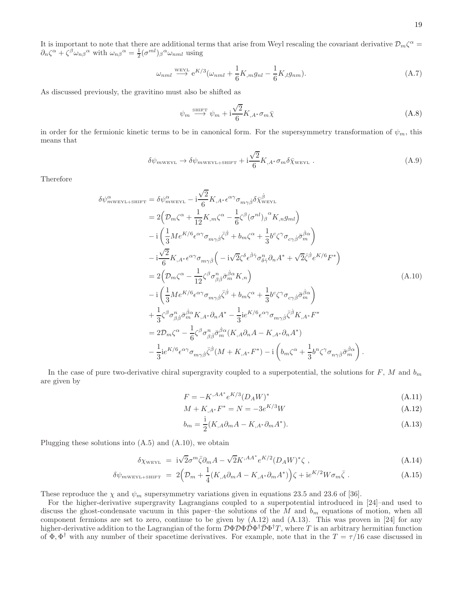It is important to note that there are additional terms that arise from Weyl rescaling the covariant derivative  $\mathcal{D}_m \zeta^{\alpha} =$  $\partial_n \zeta^\alpha + \zeta^\beta \omega_{n\beta}{}^\alpha$  with  $\omega_{n\beta}{}^\alpha = \frac{1}{2} (\sigma^{ml})_\beta{}^\alpha \omega_{nml}$  using

$$
\omega_{nml} \stackrel{\text{WEYL}}{\longrightarrow} e^{K/3} (\omega_{nml} + \frac{1}{6} K_{,m} g_{nl} - \frac{1}{6} K_{,l} g_{nm}). \tag{A.7}
$$

As discussed previously, the gravitino must also be shifted as

$$
\psi_m \stackrel{\text{shiff}}{\longrightarrow} \psi_m + \mathrm{i} \frac{\sqrt{2}}{6} K_{,A^*} \sigma_m \bar{\chi}
$$
\n(A.8)

in order for the fermionic kinetic terms to be in canonical form. For the supersymmetry transformation of  $\psi_m$ , this means that

$$
\delta\psi_{m{\text{w}}{\text{E}}{\text{Y}}{\text{L}}} \to \delta\psi_{m{\text{w}}{\text{E}}{\text{Y}}{\text{L}}+{\text{s}}{\text{H}}{\text{F}}{\text{T}}} + \mathrm{i}\frac{\sqrt{2}}{6}K_{,A^*}\sigma_m\delta\bar{\chi}_{\text{w}}{\text{E}}{\text{Y}}{\text{L}}.
$$
 (A.9)

Therefore

 $\delta$ 

$$
\psi_{m\text{WEYL+SHIFT}}^{\alpha} = \delta\psi_{m\text{WEYL}}^{\alpha} - i\frac{\sqrt{2}}{6}K_{,A^{*}}\epsilon^{\alpha\gamma}\sigma_{m\gamma\dot{\beta}}\delta\bar{\chi}_{m\text{EYL}}^{\dot{\beta}}
$$
\n
$$
= 2\left(\mathcal{D}_{m}\zeta^{\alpha} + \frac{1}{12}K_{,m}\zeta^{\alpha} - \frac{1}{6}\zeta^{\beta}(\sigma^{nl})_{\beta}{}^{\alpha}K_{,n}g_{ml}\right)
$$
\n
$$
- i\left(\frac{1}{3}Me^{K/6}\epsilon^{\alpha\gamma}\sigma_{m\gamma\dot{\beta}}\bar{\zeta}^{\dot{\beta}} + b_{m}\zeta^{\alpha} + \frac{1}{3}b^{c}\zeta^{\gamma}\sigma_{c\gamma\dot{\beta}}\bar{\sigma}_{m}^{\dot{\beta}\alpha}\right)
$$
\n
$$
- i\frac{\sqrt{2}}{6}K_{,A^{*}}\epsilon^{\alpha\gamma}\sigma_{m\gamma\dot{\beta}}\left(-i\sqrt{2}\zeta^{\delta}\epsilon^{\dot{\beta}\dot{\gamma}}\sigma_{\delta\dot{\gamma}}^{n}\partial_{n}A^{*} + \sqrt{2}\bar{\zeta}^{\dot{\beta}}\epsilon^{K/6}F^{*}\right)
$$
\n
$$
= 2\left(\mathcal{D}_{m}\zeta^{\alpha} - \frac{1}{12}\zeta^{\beta}\sigma_{\beta\dot{\beta}}^{n}\bar{\sigma}_{m}^{\dot{\beta}\alpha}K_{,n}\right)
$$
\n
$$
- i\left(\frac{1}{3}Me^{K/6}\epsilon^{\alpha\gamma}\sigma_{m\gamma\dot{\beta}}\bar{\zeta}^{\dot{\beta}} + b_{m}\zeta^{\alpha} + \frac{1}{3}b^{c}\zeta^{\gamma}\sigma_{c\gamma\dot{\beta}}\bar{\sigma}_{m}^{\dot{\beta}\alpha}\right)
$$
\n
$$
+ \frac{1}{3}\zeta^{\beta}\sigma_{\beta\dot{\beta}}^{n}\bar{\sigma}_{m}^{\dot{\beta}\alpha}K_{,A^{*}}\partial_{n}A^{*} - \frac{1}{3}ie^{K/6}\epsilon^{\alpha\gamma}\sigma_{m\gamma\dot{\beta}}\bar{\zeta}^{\dot{\beta}}K_{,A^{*}}F^{*}
$$
\n
$$
= 2\mathcal{D}_{m}\zeta^{\alpha} - \frac{1}{6}\zeta^{\beta}\sigma_{
$$

In the case of pure two-derivative chiral supergravity coupled to a superpotential, the solutions for  $F$ ,  $M$  and  $b_m$ are given by

$$
F = -K^{,AA^*}e^{K/3}(D_A W)^*
$$
\n(A.11)

$$
M + K_{,A^*}F^* = N = -3e^{K/3}W\tag{A.12}
$$

$$
b_m = \frac{1}{2}(K_{,A}\partial_m A - K_{,A^*}\partial_m A^*).
$$
 (A.13)

Plugging these solutions into  $(A.5)$  and  $(A.10)$ , we obtain

$$
\delta \chi_{\text{WEYL}} = i\sqrt{2}\sigma^m \bar{\zeta} \partial_m A - \sqrt{2}K^{,AA^*} e^{K/2} (D_A W)^* \zeta , \qquad (A.14)
$$

$$
\delta\psi_{m\text{WEYL}+\text{SHIFT}} = 2\Big(\mathcal{D}_m + \frac{1}{4}(K_{,A}\partial_m A - K_{,A^*}\partial_m A^*)\Big)\zeta + i e^{K/2}W\sigma_m\bar{\zeta} \ . \tag{A.15}
$$

These reproduce the  $\chi$  and  $\psi_m$  supersymmetry variations given in equations 23.5 and 23.6 of [36].

For the higher-derivative supergravity Lagrangians coupled to a superpotential introduced in [24]–and used to discuss the ghost-condensate vacuum in this paper–the solutions of the  $M$  and  $b_m$  equations of motion, when all component fermions are set to zero, continue to be given by (A.12) and (A.13). This was proven in [24] for any higher-derivative addition to the Lagrangian of the form  $\mathcal{D}\Phi \mathcal{D} \Phi^{\dagger} \mathcal{D} \Phi^{\dagger} \mathcal{T}$ , where T is an arbitrary hermitian function of  $\Phi$ ,  $\Phi^{\dagger}$  with any number of their spacetime derivatives. For example, note that in the  $T = \tau/16$  case discussed in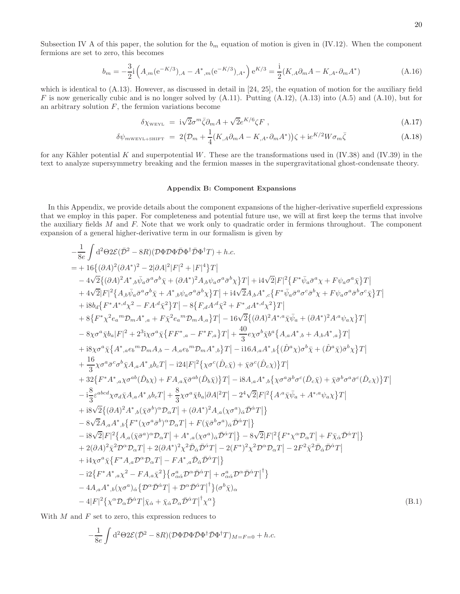Subsection IV A of this paper, the solution for the  $b_m$  equation of motion is given in (IV.12). When the component fermions are set to zero, this becomes

$$
b_m = -\frac{3}{2} \mathbf{i} \left( A_{,m} (\mathbf{e}^{-K/3})_{,A} - A^*_{,m} (\mathbf{e}^{-K/3})_{,A^*} \right) \mathbf{e}^{K/3} = \frac{\mathbf{i}}{2} (K_{,A} \partial_m A - K_{,A^*} \partial_m A^*)
$$
(A.16)

which is identical to  $(A.13)$ . However, as discussed in detail in [24, 25], the equation of motion for the auxiliary field F is now generically cubic and is no longer solved by  $(A.11)$ . Putting  $(A.12)$ ,  $(A.13)$  into  $(A.5)$  and  $(A.10)$ , but for an arbitrary solution  $F$ , the fermion variations become

$$
\delta \chi_{\text{WEYL}} = i\sqrt{2}\sigma^m \bar{\zeta} \partial_m A + \sqrt{2} e^{K/6} \zeta F , \qquad (A.17)
$$

$$
\delta\psi_{mW\text{EYL+SHIFT}} = 2\big(\mathcal{D}_m + \frac{1}{4}(K_{,A}\partial_m A - K_{,A^*}\partial_m A^*)\big)\zeta + \mathrm{i}e^{K/2}W\sigma_m\bar{\zeta}
$$
\n(A.18)

for any Kähler potential K and superpotential W. These are the transformations used in  $(V.38)$  and  $(V.39)$  in the text to analyze supersymmetry breaking and the fermion masses in the supergravitational ghost-condensate theory.

#### Appendix B: Component Expansions

In this Appendix, we provide details about the component expansions of the higher-derivative superfield expressions that we employ in this paper. For completeness and potential future use, we will at first keep the terms that involve the auxiliary fields M and F. Note that we work only to quadratic order in fermions throughout. The component expansion of a general higher-derivative term in our formalism is given by

$$
-\frac{1}{8e}\int d^{2}\Theta 2\mathcal{E}(\bar{D}^{2}-8R)(\mathcal{D}\Phi\bar{D}\Phi^{\dagger}\bar{D}\Phi^{\dagger}T)+h.c.
$$
\n
$$
=+16\{(\partial A)^{2}(\partial A^{*})^{2}-2|\partial A|^{2}|F|^{2}+|F|^{4}\}T|
$$
\n
$$
-4\sqrt{2}\{(\partial A)^{2}A^{*},{}_{b}\bar{\psi}_{a}\bar{\sigma}^{a}\sigma^{b}\bar{\chi}+(\partial A^{*})^{2}A,{}_{b}\psi_{a}\sigma^{a}\bar{\sigma}^{b}\chi\}T|+i4\sqrt{2}|F|^{2}\{F^{*}\bar{\psi}_{a}\bar{\sigma}^{a}\chi+F\psi_{a}\sigma^{a}\bar{\chi}\}T|
$$
\n
$$
+4\sqrt{2}|F|^{2}\{A,{}_{b}\bar{\psi}_{a}\bar{\sigma}^{a}\sigma^{b}\bar{\chi}+A^{*},{}_{b}\psi_{a}\sigma^{a}\bar{\sigma}^{b}\chi\}T|+i4\sqrt{2}|A,A^{*},{}_{c}\{F^{*}\bar{\psi}_{a}\bar{\sigma}^{a}\sigma^{c}\bar{\sigma}^{b}\chi+F\psi_{a}\sigma^{a}\bar{\sigma}^{b}\sigma^{c}\bar{\chi}\}T|
$$
\n
$$
+8\{F^{*}X^{2}e_{a}^{m}D_{m}A^{*},a+F\bar{\chi}^{2}e_{a}^{m}D_{m}A_{a}\}T|-8\{F_{a}A^{d}\bar{\chi}^{2}+F^{*},{}_{d}A^{*},{}_{d}\chi^{2}\}T|
$$
\n
$$
+8\{F^{*}X^{2}e_{a}^{m}D_{m}A^{*},a+F\bar{\chi}^{2}e_{a}^{m}D_{m}A_{a}\}T|-16\sqrt{2}\{(\partial A)^{2}A^{*},{}_{d}\bar{\chi}_{a}\bar{\chi}_{a}+(\partial A^{*})^{2}A^{*}\psi_{a}\chi\}T|
$$
\n
$$
-8\chi\sigma^{2}\bar{\chi}b_{a}|F|^{2}+2^{3}\chi\sigma^{a}\bar{\chi}\{FF^{*},a-F^{*}F_{a}\}T|+40\exp\bar{\chi}\delta^{b}\bar{\chi}^{a}\{A,a^{*},b+A_{b}A^{*},a}\}T|
$$
\n
$$
+8\
$$

With  $M$  and  $F$  set to zero, this expression reduces to

$$
-\frac{1}{8e} \int d^2\Theta 2\mathcal{E}(\bar{\mathcal{D}}^2 - 8R)(\mathcal{D}\Phi \mathcal{D}\Phi \bar{\mathcal{D}}\Phi^{\dagger} \bar{\mathcal{D}}\Phi^{\dagger} T)_{M=F=0} + h.c.
$$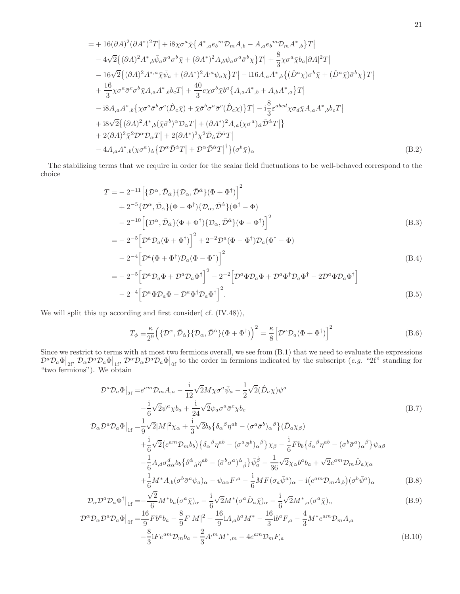$$
= + 16(\partial A)^{2}(\partial A^{*})^{2}T \Big| + i8\chi\sigma^{a}\bar{\chi}\Big\{A^{*},a\epsilon_{b}{}^{m}\mathcal{D}_{m}A_{,b} - A_{,a}\epsilon_{b}{}^{m}\mathcal{D}_{m}A^{*},b\Big\}T \Big| - 4\sqrt{2}\big\{(\partial A)^{2}A^{*},b\bar{\psi}_{a}\bar{\sigma}^{a}\sigma^{b}\bar{\chi} + (\partial A^{*})^{2}A_{,b}\psi_{a}\sigma^{a}\bar{\sigma}^{b}\chi\Big\}T \Big| + \frac{8}{3}\chi\sigma^{a}\bar{\chi}b_{a}|\partial A|^{2}T \Big| - 16\sqrt{2}\big\{(\partial A)^{2}A^{*},{}^{a}\bar{\chi}\bar{\psi}_{a} + (\partial A^{*})^{2}A^{,a}\psi_{a}\chi\Big\}T \Big| - i16A_{,a}A^{*},b\big\{(\hat{D}^{a}\chi)\sigma^{b}\bar{\chi} + (\hat{D}^{a}\bar{\chi})\bar{\sigma}^{b}\chi\Big\}T \Big| + \frac{16}{3}\chi\sigma^{a}\bar{\sigma}^{c}\sigma^{b}\bar{\chi}A_{,a}A^{*},b b_{c}T \Big| + \frac{40}{3}e\chi\sigma^{b}\bar{\chi}b^{a}\big\{A_{,a}A^{*},b + A_{,b}A^{*},a\big\}T \Big| - i8A_{,a}A^{*},b\big\{\chi\sigma^{a}\bar{\sigma}^{b}\sigma^{c}(\hat{D}_{c}\bar{\chi}) + \bar{\chi}\bar{\sigma}^{b}\sigma^{a}\bar{\sigma}^{c}(\hat{D}_{c}\chi)\big\}T \Big| - i\frac{8}{3}\varepsilon^{abcd}\chi\sigma_{d}\bar{\chi}A_{,a}A^{*},b b_{c}T \Big| + i8\sqrt{2}\big\{(\partial A)^{2}A^{*},b(\bar{\chi}\bar{\sigma}^{b})^{\alpha}\mathcal{D}_{\alpha}T \Big| + (\partial A^{*})^{2}A_{,a}(\chi\sigma^{a})_{\dot{\alpha}}\bar{\mathcal{D}}^{\dot{\alpha}}T \Big| + 2(\partial A)^{2}\bar{\chi}^{2}\mathcal{D}^{\alpha}\mathcal{D}_{\alpha}T \Big| + 2(\partial A^{*})^{2}\chi^{2}\bar{\mathcal{D}}_{\dot{\alpha}}
$$

The stabilizing terms that we require in order for the scalar field fluctuations to be well-behaved correspond to the choice

$$
T = -2^{-11} \Big[ \{ \mathcal{D}^{\alpha}, \bar{\mathcal{D}}_{\dot{\alpha}} \} \{ \mathcal{D}_{\alpha}, \bar{\mathcal{D}}^{\dot{\alpha}} \} (\Phi + \Phi^{\dagger}) \Big]^{2} + 2^{-5} \{ \mathcal{D}^{\alpha}, \bar{\mathcal{D}}_{\dot{\alpha}} \} (\Phi - \Phi^{\dagger}) \{ \mathcal{D}_{\alpha}, \bar{\mathcal{D}}^{\dot{\alpha}} \} (\Phi^{\dagger} - \Phi) - 2^{-10} \Big[ \{ \mathcal{D}^{\alpha}, \bar{\mathcal{D}}_{\dot{\alpha}} \} (\Phi + \Phi^{\dagger}) \{ \mathcal{D}_{\alpha}, \bar{\mathcal{D}}^{\dot{\alpha}} \} (\Phi - \Phi^{\dagger}) \Big]^{2} \tag{B.3}
$$

$$
= -2^{-5} \Big[ \mathcal{D}^a \mathcal{D}_a (\Phi + \Phi^{\dagger}) \Big]^2 + 2^{-2} \mathcal{D}^a (\Phi - \Phi^{\dagger}) \mathcal{D}_a (\Phi^{\dagger} - \Phi)
$$
  
\n
$$
- 2^{-4} \Big[ \mathcal{D}^a (\Phi + \Phi^{\dagger}) \mathcal{D}_a (\Phi - \Phi^{\dagger}) \Big]^2
$$
  
\n
$$
= -2^{-5} \Big[ \mathcal{D}^a \mathcal{D}_a \Phi + \mathcal{D}^a \mathcal{D}_a \Phi^{\dagger} \Big]^2 - 2^{-2} \Big[ \mathcal{D}^a \Phi \mathcal{D}_a \Phi + \mathcal{D}^a \Phi^{\dagger} \mathcal{D}_a \Phi^{\dagger} - 2 \mathcal{D}^a \Phi \mathcal{D}_a \Phi^{\dagger} \Big]
$$
  
\n
$$
- 2^{-4} \Big[ \mathcal{D}^a \Phi \mathcal{D}_a \Phi - \mathcal{D}^a \Phi^{\dagger} \mathcal{D}_a \Phi^{\dagger} \Big]^2.
$$
 (B.5)

We will split this up according and first consider( cf. (IV.48)),

$$
T_{\phi} \equiv \frac{\kappa}{2^9} \left( \{ \mathcal{D}^{\alpha}, \bar{\mathcal{D}}_{\dot{\alpha}} \} \{ \mathcal{D}_{\alpha}, \bar{\mathcal{D}}^{\dot{\alpha}} \} (\Phi + \Phi^{\dagger}) \right)^2 = \frac{\kappa}{8} \left[ \mathcal{D}^a \mathcal{D}_a (\Phi + \Phi^{\dagger}) \right]^2 \tag{B.6}
$$

Since we restrict to terms with at most two fermions overall, we see from (B.1) that we need to evaluate the expressions  $\mathcal{D}^a \mathcal{D}_a \Phi \big|_{2f}$ ,  $\mathcal{D}_a \mathcal{D}^a \mathcal{D}_a \Phi \big|_{1f}$ ,  $\mathcal{D}^{\alpha} \mathcal{D}_a \mathcal{D}^a \mathcal{D}_a \Phi \big|_{0f}$  to the order in fermions indicated by the subscript (e.g. "2f" standing for "two fermions"). We obtain

$$
\mathcal{D}^{a}\mathcal{D}_{a}\Phi\big|_{2f} = e^{am}\mathcal{D}_{m}A_{,a} - \frac{i}{12}\sqrt{2}M\chi\sigma^{a}\bar{\psi}_{a} - \frac{1}{2}\sqrt{2}(\hat{D}_{a}\chi)\psi^{a} \n- \frac{i}{6}\sqrt{2}\psi^{a}\chi b_{a} + \frac{i}{24}\sqrt{2}\psi_{a}\sigma^{a}\bar{\sigma}^{c}\chi b_{c} \n\mathcal{D}_{\alpha}\mathcal{D}^{a}\mathcal{D}_{a}\Phi\big|_{1f} = \frac{1}{9}\sqrt{2}|M|^{2}\chi_{\alpha} + \frac{i}{3}\sqrt{2}b_{b}\{\delta_{\alpha}{}^{\beta}\eta^{ab} - (\sigma^{a}\bar{\sigma}^{b})_{\alpha}{}^{\beta}\}(\hat{D}_{a}\chi_{\beta})
$$
\n(B.7)

$$
\begin{split}\n&\left. \begin{array}{l}\n\mathcal{L}_{a}\Psi|_{1f} - \frac{1}{9} \nabla \mathcal{L}|\mathcal{M}| \ \chi_{\alpha} + \frac{1}{3} \nabla \mathcal{L}b_{b} \mathbf{0}_{\alpha} \cdot \eta \end{array}\right. \\
&\left. + \frac{i}{6} \sqrt{2} \big( e^{am} \mathcal{D}_{m} b_{b} \big) \big\{ \delta_{\alpha}{}^{\beta} \eta^{ab} - (\sigma^{a} \bar{\sigma}^{b})_{\alpha}{}^{\beta} \big\} \chi_{\beta} - \frac{i}{6} F b_{b} \big\{ \delta_{\alpha}{}^{\beta} \eta^{ab} - (\sigma^{b} \bar{\sigma}^{a})_{\alpha}{}^{\beta} \big\} \psi_{a\beta} \right. \\
&\left. - \frac{1}{6} A_{,d} \sigma_{\alpha\dot{\alpha}}^{d} b_{b} \big\{ \delta^{\dot{\alpha}}{}_{\dot{\beta}} \eta^{ab} - (\bar{\sigma}^{b} \sigma^{a})^{\dot{\alpha}}{}_{\dot{\beta}} \big\} \bar{\psi}_{a}^{\dot{\beta}} - \frac{1}{36} \sqrt{2} \chi_{\alpha} b^{a} b_{a} + \sqrt{2} e^{am} \mathcal{D}_{m} \hat{D}_{a} \chi_{\alpha} \right. \\
&\left. + \frac{1}{6} M^{*} A_{,b} (\sigma^{b} \bar{\sigma}^{a} \psi_{a})_{\alpha} - \psi_{a\alpha} F^{,a} - \frac{i}{6} M F (\sigma_{a} \bar{\psi}^{a})_{\alpha} - i (e^{am} \mathcal{D}_{m} A_{,b}) (\sigma^{b} \bar{\psi}^{a})_{\alpha} \right. \\
&\left. \tag{B.8}\n\end{array}\n\right)\n\end{split}
$$

$$
\mathcal{D}_{\alpha}\mathcal{D}^{a}\mathcal{D}_{a}\Phi^{\dagger}\big|_{1f} = -\frac{\sqrt{2}}{6}M^{*}b_{a}(\sigma^{a}\bar{\chi})_{\alpha} - \frac{i}{6}\sqrt{2}M^{*}(\sigma^{a}\hat{D}_{a}\bar{\chi})_{\alpha} - \frac{i}{6}\sqrt{2}M^{*}{}_{,a}(\sigma^{a}\bar{\chi})_{\alpha}
$$
(B.9)

$$
\mathcal{D}^{\alpha} \mathcal{D}_{\alpha} \mathcal{D}^{a} \mathcal{D}_{a} \Phi \Big|_{0f} = \frac{16}{9} F b^{a} b_{a} - \frac{8}{9} F |M|^{2} + \frac{16}{9} i A_{,a} b^{a} M^{*} - \frac{16}{3} i b^{a} F_{,a} - \frac{4}{3} M^{*} e^{am} \mathcal{D}_{m} A_{,a}
$$

$$
- \frac{8}{3} i F e^{am} \mathcal{D}_{m} b_{a} - \frac{2}{3} A^{,m} M^{*}{}_{,m} - 4 e^{am} \mathcal{D}_{m} F_{,a}
$$
(B.10)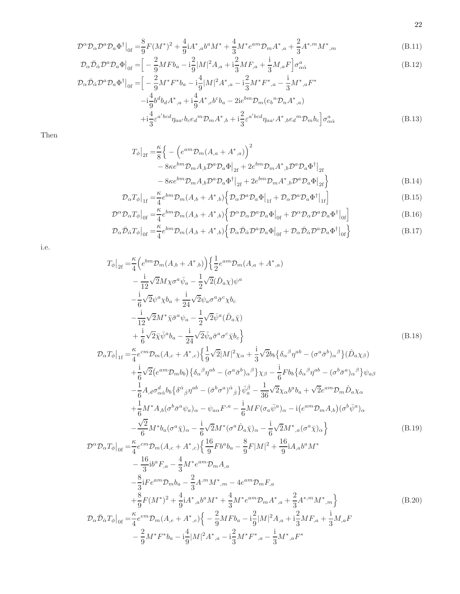$$
\mathcal{D}^{\alpha} \mathcal{D}_{\alpha} \mathcal{D}^{a} \mathcal{D}_{a} \Phi^{\dagger} \big|_{0f} = \frac{8}{9} F(M^{*})^{2} + \frac{4}{9} i A^{*},_{a} b^{a} M^{*} + \frac{4}{3} M^{*} e^{am} \mathcal{D}_{m} A^{*},_{a} + \frac{2}{3} A^{*,m} M^{*},_{m}
$$
\n(B.11)

$$
\mathcal{D}_{\alpha}\bar{\mathcal{D}}_{\dot{\alpha}}\mathcal{D}^{a}\mathcal{D}_{a}\Phi\big|_{0f} = \Big[ -\frac{2}{9}MFb_{a} - i\frac{2}{9}|M|^{2}A_{,a} + i\frac{2}{3}MF_{,a} + \frac{i}{3}M_{,a}F\Big]\sigma_{\alpha\dot{\alpha}}^{a}
$$
(B.12)

$$
\mathcal{D}_{\alpha}\bar{\mathcal{D}}_{\dot{\alpha}}\mathcal{D}^{a}\mathcal{D}_{a}\Phi^{\dagger}\Big|_{0f} = \Big[ -\frac{2}{9}M^{*}F^{*}b_{a} - i\frac{4}{9}|M|^{2}A^{*},_{a} - i\frac{2}{3}M^{*}F^{*},_{a} - \frac{i}{3}M^{*},_{a}F^{*} - i\frac{4}{9}b^{d}b_{d}A^{*},_{a} + i\frac{4}{9}A^{*},_{c}b^{c}b_{a} - 2ie^{bm}\mathcal{D}_{m}(e_{b}{}^{n}\mathcal{D}_{n}A^{*},_{a}) + i\frac{4}{3}\varepsilon^{a'bcd}\eta_{aa'}b_{c}e_{d}{}^{m}\mathcal{D}_{m}A^{*},_{b} + i\frac{2}{3}\varepsilon^{a'bcd}\eta_{aa'}A^{*},_{b}e_{d}{}^{m}\mathcal{D}_{m}b_{c}\Big]\sigma_{\alpha\dot{\alpha}}^{a}
$$
\n(B.13)

Then

$$
T_{\phi}|_{2f} = \frac{\kappa}{8} \Big\{ - \Big(e^{am} \mathcal{D}_m(A_{,a} + A^*_{,a})\Big)^2 - 8\kappa e^{bm} \mathcal{D}_m A_{,b} \mathcal{D}^a \mathcal{D}_a \Phi\Big|_{2f} + 2e^{bm} \mathcal{D}_m A^*_{,b} \mathcal{D}^a \mathcal{D}_a \Phi^{\dagger}\Big|_{2f} - 8\kappa e^{bm} \mathcal{D}_m A_{,b} \mathcal{D}^a \mathcal{D}_a \Phi^{\dagger}\Big|_{2f} + 2e^{bm} \mathcal{D}_m A^*_{,b} \mathcal{D}^a \mathcal{D}_a \Phi\Big|_{2f} \Big\}
$$
(B.14)

$$
\mathcal{D}_{\alpha}T_{\phi}|_{1f} = \frac{\kappa}{4}e^{bm}\mathcal{D}_{m}(A_{,b} + A_{,b}^{*})\left\{\mathcal{D}_{\alpha}\mathcal{D}^{a}\mathcal{D}_{a}\Phi|_{1f} + \mathcal{D}_{\alpha}\mathcal{D}^{a}\mathcal{D}_{a}\Phi^{\dagger}|_{1f}\right\}
$$
(B.15)

$$
\mathcal{D}^{\alpha} \mathcal{D}_{\alpha} T_{\phi}|_{0f} = \frac{\kappa}{4} e^{bm} \mathcal{D}_m (A_{,b} + A^*_{,b}) \left\{ \mathcal{D}^{\alpha} \mathcal{D}_{\alpha} \mathcal{D}^{\alpha} \mathcal{D}_{a} \Phi|_{0f} + \mathcal{D}^{\alpha} \mathcal{D}_{\alpha} \mathcal{D}^{\alpha} \mathcal{D}_{a} \Phi^{\dagger}|_{0f} \right\}
$$
(B.16)

$$
\mathcal{D}_{\alpha}\bar{\mathcal{D}}_{\dot{\alpha}}T_{\phi}|_{0f} = \frac{\kappa}{4}e^{bm}\mathcal{D}_{m}(A_{,b} + A^{*},{}_{b})\left\{\mathcal{D}_{\alpha}\bar{\mathcal{D}}_{\dot{\alpha}}\mathcal{D}^{a}\mathcal{D}_{a}\Phi|_{0f} + \mathcal{D}_{\alpha}\bar{\mathcal{D}}_{\dot{\alpha}}\mathcal{D}^{a}\mathcal{D}_{a}\Phi^{\dagger}|_{0f}\right\}
$$
(B.17)

i.e.

$$
T_{\phi}|_{2f} = \frac{\kappa}{4} \left( e^{bm} \mathcal{D}_m(A_{,b} + A^*_{,b}) \right) \left\{ \frac{1}{2} e^{am} \mathcal{D}_m(A_{,a} + A^*_{,a}) \right. \\ - \frac{i}{12} \sqrt{2} M \chi \sigma^a \bar{\psi}_a - \frac{1}{2} \sqrt{2} (\hat{D}_a \chi) \psi^a \\ - \frac{i}{6} \sqrt{2} \psi^a \chi b_a + \frac{i}{24} \sqrt{2} \psi_a \sigma^a \bar{\sigma}^c \chi b_c \\ - \frac{i}{12} \sqrt{2} M^* \bar{\chi} \bar{\sigma}^a \psi_a - \frac{1}{2} \sqrt{2} \bar{\psi}^a (\hat{D}_a \bar{\chi}) \\ + \frac{i}{6} \sqrt{2} \bar{\chi} \bar{\psi}^a b_a - \frac{i}{24} \sqrt{2} \bar{\psi}_a \bar{\sigma}^a \sigma^c \bar{\chi} b_c \right\}
$$
\n(B.18)

$$
\mathcal{D}_{\alpha}T_{\phi}|_{1f} = \frac{\kappa}{4}e^{cm}\mathcal{D}_{m}(A_{,c} + A^{*},c)\left\{\frac{1}{9}\sqrt{2}|M|^{2}\chi_{\alpha} + \frac{1}{3}\sqrt{2}b_{b}\left\{\delta_{\alpha}{}^{\beta}\eta^{ab} - (\sigma^{a}\bar{\sigma}^{b})_{\alpha}{}^{\beta}\right\}(\hat{D}_{a}\chi_{\beta})\right.\\
\left. + \frac{1}{6}\sqrt{2}\left(e^{am}\mathcal{D}_{m}b_{b}\right)\left\{\delta_{\alpha}{}^{\beta}\eta^{ab} - (\sigma^{a}\bar{\sigma}^{b})_{\alpha}{}^{\beta}\right\}\chi_{\beta} - \frac{1}{6}Fb_{b}\left\{\delta_{\alpha}{}^{\beta}\eta^{ab} - (\sigma^{b}\bar{\sigma}^{a})_{\alpha}{}^{\beta}\right\}\psi_{a\beta}\right.\\
\left. - \frac{1}{6}A_{,d}\sigma_{\alpha\dot{\alpha}}^{d}b_{b}\left\{\delta^{\dot{\alpha}}_{\dot{\beta}}\eta^{ab} - (\bar{\sigma}^{b}\sigma^{a})_{\dot{\alpha}}{}^{\dot{\beta}}\right\}\bar{\psi}_{a}^{\dot{\beta}} - \frac{1}{36}\sqrt{2}\chi_{\alpha}b^{a}b_{a} + \sqrt{2}e^{am}\mathcal{D}_{m}\hat{D}_{a}\chi_{\alpha}\right.\\
\left. + \frac{1}{6}M^{*}A_{,b}(\sigma^{b}\bar{\sigma}^{a}\psi_{a})_{\alpha} - \psi_{a\alpha}F^{,a} - \frac{1}{6}MF(\sigma_{a}\bar{\psi}^{a})_{\alpha} - i(e^{am}\mathcal{D}_{m}A_{,b})(\sigma^{b}\bar{\psi}^{a})_{\alpha}\right.\\
\left. - \frac{\sqrt{2}}{6}M^{*}b_{a}(\sigma^{a}\bar{\chi})_{\alpha} - \frac{i}{6}\sqrt{2}M^{*}(\sigma^{a}\hat{D}_{a}\bar{\chi})_{\alpha} - \frac{i}{6}\sqrt{2}M^{*}{}_{,a}(\sigma^{a}\bar{\chi})_{\alpha}\right\}
$$
\n(B.19)

$$
\mathcal{D}^{\alpha}\mathcal{D}_{\alpha}T_{\phi}|_{0f} = \frac{\kappa}{4}e^{cm}\mathcal{D}_{m}(A_{,c} + A^{*},c)\left\{\frac{16}{9}Fb^{a}b_{a} - \frac{8}{9}F|M|^{2} + \frac{16}{9}\mathrm{i}A_{,a}b^{a}M^{*}\right.\left. - \frac{16}{3}\mathrm{i}b^{a}F_{,a} - \frac{4}{3}M^{*}e^{am}\mathcal{D}_{m}A_{,a}\right.\left. - \frac{8}{3}\mathrm{i}Fe^{am}\mathcal{D}_{m}b_{a} - \frac{2}{3}A^{,m}M^{*},m - 4e^{am}\mathcal{D}_{m}F_{,a}\right.\left. + \frac{8}{9}F(M^{*})^{2} + \frac{4}{9}\mathrm{i}A^{*},a^{b^{a}}M^{*} + \frac{4}{3}M^{*}e^{am}\mathcal{D}_{m}A^{*},a + \frac{2}{3}A^{*,m}M^{*},m\right\}\left. \mathcal{D}_{\alpha}\bar{\mathcal{D}}_{\dot{\alpha}}T_{\phi}\right|_{0f} = \frac{\kappa}{4}e^{em}\mathcal{D}_{m}(A_{,e} + A^{*},e)\left\{-\frac{2}{9}MFb_{a} - \mathrm{i}\frac{2}{9}|M|^{2}A_{,a} + \mathrm{i}\frac{2}{3}MF_{,a} + \frac{\mathrm{i}}{3}M_{,a}F\right.\right.
$$
\n(B.20)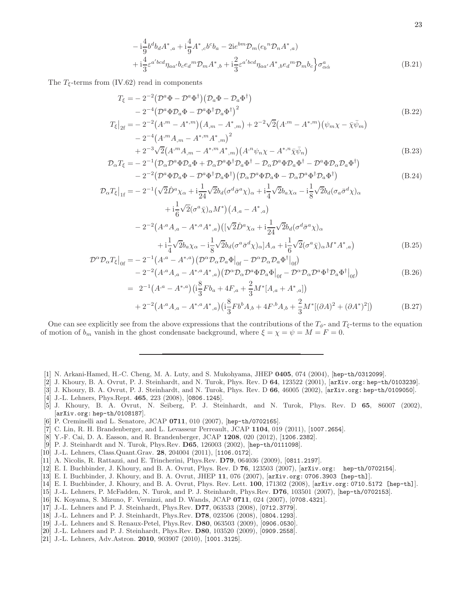$$
-i\frac{4}{9}b^db_dA^*_{,a} + i\frac{4}{9}A^*_{,c}b^cb_a - 2ie^{bm}\mathcal{D}_m(e_b{}^n\mathcal{D}_nA^*_{,a})
$$
  
+ 
$$
i\frac{4}{3}\varepsilon^{a'bcd}\eta_{aa'}bce_d{}^m\mathcal{D}_mA^*_{,b} + i\frac{2}{3}\varepsilon^{a'bcd}\eta_{aa'}A^*_{,b}e_d{}^m\mathcal{D}_m b_c\Big\}\sigma^a_{\alpha\dot{\alpha}}
$$
(B.21)

The  $T_{\xi}$ -terms from (IV.62) read in components

$$
T_{\xi} = -2^{-2} \left( \mathcal{D}^{a} \Phi - \mathcal{D}^{a} \Phi^{\dagger} \right) \left( \mathcal{D}_{a} \Phi - \mathcal{D}_{a} \Phi^{\dagger} \right)
$$
  
\n
$$
-2^{-4} \left( \mathcal{D}^{a} \Phi \mathcal{D}_{a} \Phi - \mathcal{D}^{a} \Phi^{\dagger} \mathcal{D}_{a} \Phi^{\dagger} \right)^{2}
$$
  
\n
$$
T_{\xi}|_{2f} = -2^{-2} \left( A^{,m} - A^{*,m} \right) \left( A_{,m} - A^{*,m} \right) + 2^{-2} \sqrt{2} \left( A^{,m} - A^{*,m} \right) \left( \psi_{m} \chi - \bar{\chi} \bar{\psi}_{m} \right)
$$
  
\n(B.22)

$$
-2^{-4} (A^{,m} A_{,m} - A^{*,m} A^{*,m})^2
$$
  
+2<sup>-3</sup>  $\sqrt{2} (A^{,m} A_{,m} - A^{*,m} A^{*,m}) (A^{,n} \psi_n \chi - A^{*,n} \bar{\chi} \bar{\psi}_n)$  (B.23)

$$
+2^{-3}\sqrt{2}(A^{,m}A_{,m}-A^{*,m}A^{*},m)(A^{,n}\psi_{n}\chi-A^{*,n}\bar{\chi}\bar{\psi}_{n})
$$
(B.23)  

$$
\mathcal{D}_{\alpha}T_{\xi}=-2^{-1}(\mathcal{D}_{\alpha}\mathcal{D}^{a}\Phi\mathcal{D}_{a}\Phi+\mathcal{D}_{\alpha}\mathcal{D}^{a}\Phi^{\dagger}\mathcal{D}_{a}\Phi^{\dagger}-\mathcal{D}_{\alpha}\mathcal{D}^{a}\Phi\mathcal{D}_{a}\Phi^{\dagger}-\mathcal{D}^{a}\Phi\mathcal{D}_{\alpha}\mathcal{D}_{a}\Phi^{\dagger})
$$
(B.24)  

$$
-2^{-2}(\mathcal{D}^{a}\Phi\mathcal{D}_{a}\Phi-\mathcal{D}^{a}\Phi^{\dagger}\mathcal{D}_{a}\Phi^{\dagger})(\mathcal{D}_{\alpha}\mathcal{D}^{a}\Phi\mathcal{D}_{a}\Phi-\mathcal{D}_{\alpha}\mathcal{D}^{a}\Phi^{\dagger}\mathcal{D}_{a}\Phi^{\dagger})
$$
(B.24)

$$
\mathcal{D}_{\alpha}T_{\xi}|_{1f} = -2^{-1}(\sqrt{2}\hat{D}^{a}\chi_{\alpha} + i\frac{1}{24}\sqrt{2}b_{d}(\sigma^{d}\bar{\sigma}^{a}\chi)_{\alpha} + i\frac{1}{4}\sqrt{2}b_{a}\chi_{\alpha} - i\frac{1}{8}\sqrt{2}b_{d}(\sigma_{a}\bar{\sigma}^{d}\chi)_{\alpha} \n+ i\frac{1}{6}\sqrt{2}(\sigma^{a}\bar{\chi})_{\alpha}M^{*} \Big) (A_{,a} - A^{*},_{a}) \n-2^{-2}(A^{,a}A_{,a} - A^{*,a}A^{*},_{a}) \Big( [\sqrt{2}\hat{D}^{a}\chi_{\alpha} + i\frac{1}{24}\sqrt{2}b_{d}(\sigma^{d}\bar{\sigma}^{a}\chi)_{\alpha} \n+ i\frac{1}{4}\sqrt{2}b_{a}\chi_{\alpha} - i\frac{1}{8}\sqrt{2}b_{d}(\sigma^{a}\bar{\sigma}^{d}\chi)_{\alpha} \Big) A_{,a} + i\frac{1}{6}\sqrt{2}(\sigma^{a}\bar{\chi})_{\alpha}M^{*}A^{*},_{a} \Big)
$$
\n(B.25)

$$
\mathcal{D}^{\alpha} \mathcal{D}_{\alpha} T_{\xi}|_{0f} = -2^{-1} (A^{\alpha} - A^{*,a}) (\mathcal{D}^{\alpha} \mathcal{D}_{\alpha} \mathcal{D}_{a} \Phi|_{0f} - \mathcal{D}^{\alpha} \mathcal{D}_{\alpha} \mathcal{D}_{a} \Phi^{\dagger}|_{0f})
$$
  

$$
-2^{-2} (A^{\alpha} A_{,a} - A^{*,a} A^{*,a}) (\mathcal{D}^{\alpha} \mathcal{D}_{\alpha} \mathcal{D}_{a} \Phi \Phi|_{0f} - \mathcal{D}^{\alpha} \mathcal{D}_{\alpha} \mathcal{D}_{a} \Phi^{\dagger} \mathcal{D}_{a} \Phi^{\dagger} \mathcal{D}_{a} \Phi^{\dagger}|_{0f})
$$
(B.26)

$$
= 2^{-1} (A^{,a} - A^{*,a}) \left( i \frac{8}{3} F b_a + 4F_{,a} + \frac{2}{3} M^* [A_{,a} + A^*_{,a}] \right) + 2^{-2} (A^{,a} A_{,a} - A^{*,a} A^*_{,a}) \left( i \frac{8}{3} F b^b A_{,b} + 4F^{,b} A_{,b} + \frac{2}{3} M^* [(\partial A)^2 + (\partial A^*)^2] \right)
$$
(B.27)

One can see explicitly see from the above expressions that the contributions of the  $T_{\phi}$ - and  $T_{\xi}$ -terms to the equation of motion of  $b_m$  vanish in the ghost condensate background, where  $\xi = \chi = \psi = M = F = 0$ .

- [1] N. Arkani-Hamed, H.-C. Cheng, M. A. Luty, and S. Mukohyama, JHEP 0405, 074 (2004), [hep-th/0312099].
- [2] J. Khoury, B. A. Ovrut, P. J. Steinhardt, and N. Turok, Phys. Rev. D 64, 123522 (2001), [arXiv.org: hep-th/0103239].
- [3] J. Khoury, B. A. Ovrut, P. J. Steinhardt, and N. Turok, Phys. Rev. D 66, 46005 (2002), [arXiv.org: hep-th/0109050].
- [4] J.-L. Lehners, Phys.Rept. 465, 223 (2008), [0806.1245].
- [5] J. Khoury, B. A. Ovrut, N. Seiberg, P. J. Steinhardt, and N. Turok, Phys. Rev. D 65, 86007 (2002), [arXiv.org: hep-th/0108187].
- [6] P. Creminelli and L. Senatore, JCAP 0711, 010 (2007), [hep-th/0702165].
- [7] C. Lin, R. H. Brandenberger, and L. Levasseur Perreault, JCAP 1104, 019 (2011), [1007.2654].
- [8] Y.-F. Cai, D. A. Easson, and R. Brandenberger, JCAP 1208, 020 (2012), [1206.2382].
- [9] P. J. Steinhardt and N. Turok, Phys.Rev. D65, 126003 (2002), [hep-th/0111098].
- [10] J.-L. Lehners, Class.Quant.Grav. 28, 204004 (2011), [1106.0172].
- [11] A. Nicolis, R. Rattazzi, and E. Trincherini, Phys.Rev. D79, 064036 (2009), [0811.2197].
- [12] E. I. Buchbinder, J. Khoury, and B. A. Ovrut, Phys. Rev. D 76, 123503 (2007), [arXiv.org: hep-th/0702154].
- [13] E. I. Buchbinder, J. Khoury, and B. A. Ovrut, JHEP 11, 076 (2007), [arXiv.org: 0706.3903 [hep-th]].
- [14] E. I. Buchbinder, J. Khoury, and B. A. Ovrut, Phys. Rev. Lett. 100, 171302 (2008), [arXiv.org: 0710.5172 [hep-th]].
- [15] J.-L. Lehners, P. McFadden, N. Turok, and P. J. Steinhardt, Phys.Rev. D76, 103501 (2007), [hep-th/0702153].
- [16] K. Koyama, S. Mizuno, F. Vernizzi, and D. Wands, JCAP 0711, 024 (2007), [0708.4321].
- [17] J.-L. Lehners and P. J. Steinhardt, Phys.Rev. D77, 063533 (2008), [0712.3779].
- [18] J.-L. Lehners and P. J. Steinhardt, Phys.Rev. D78, 023506 (2008), [0804.1293].
- [19] J.-L. Lehners and S. Renaux-Petel, Phys.Rev. D80, 063503 (2009), [0906.0530].
- [20] J.-L. Lehners and P. J. Steinhardt, Phys.Rev. D80, 103520 (2009), [0909.2558].
- [21] J.-L. Lehners, Adv.Astron. 2010, 903907 (2010), [1001.3125].